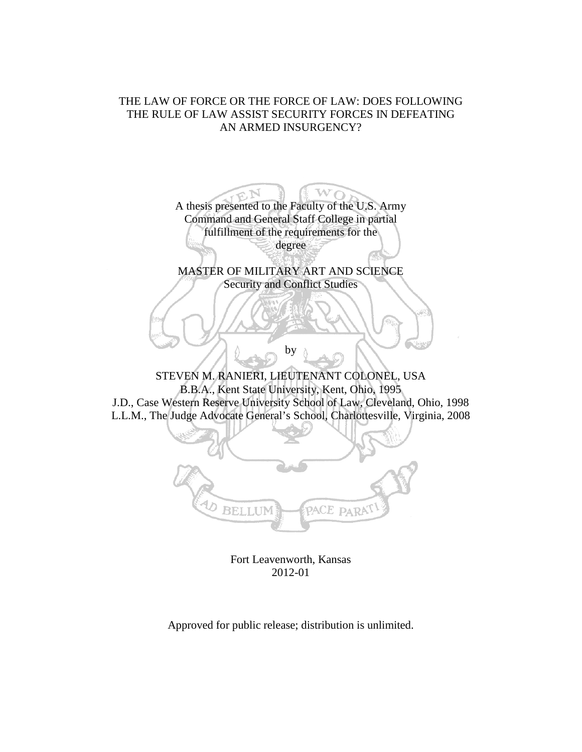# THE LAW OF FORCE OR THE FORCE OF LAW: DOES FOLLOWING THE RULE OF LAW ASSIST SECURITY FORCES IN DEFEATING AN ARMED INSURGENCY?

A thesis presented to the Faculty of the U.S. Army  $\mathbf{w_{O}}$ Command and General Staff College in partial fulfillment of the requirements for the degree MASTER OF MILITARY ART AND SCIENCE Security and Conflict Studies by STEVEN M. RANIERI, LIEUTENANT COLONEL, USA B.B.A., Kent State University, Kent, Ohio, 1995 J.D., Case Western Reserve University School of Law, Cleveland, Ohio, 1998 L.L.M., The Judge Advocate General's School, Charlottesville, Virginia, 2008 **BELLUM** PACE PARA

Fort Leavenworth, Kansas 2012-01

Approved for public release; distribution is unlimited.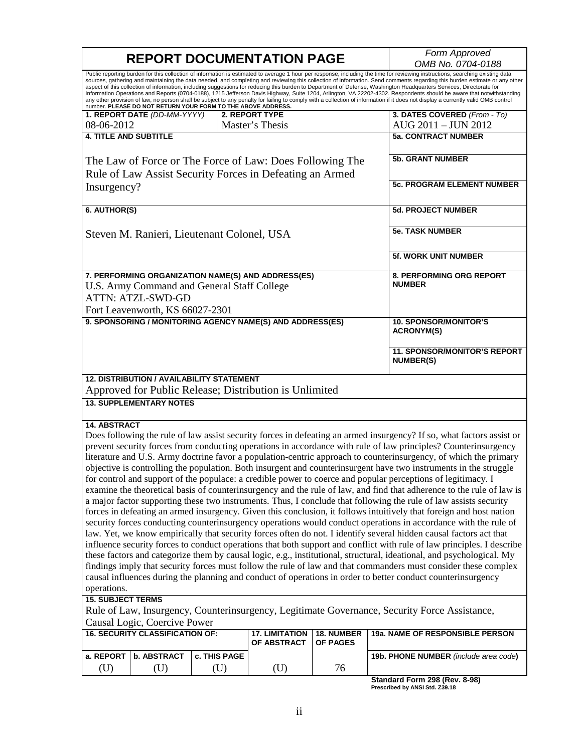|                                                                                                                                                                                                                                        | <b>REPORT DOCUMENTATION PAGE</b>                                                                                     | Form Approved                                     |                       |                 |                                                                                                                                                                                                                                                                                                                                                                                                                                                                                                                                                                                                                                                                                                                                                                                                                                                                                                   |  |  |  |
|----------------------------------------------------------------------------------------------------------------------------------------------------------------------------------------------------------------------------------------|----------------------------------------------------------------------------------------------------------------------|---------------------------------------------------|-----------------------|-----------------|---------------------------------------------------------------------------------------------------------------------------------------------------------------------------------------------------------------------------------------------------------------------------------------------------------------------------------------------------------------------------------------------------------------------------------------------------------------------------------------------------------------------------------------------------------------------------------------------------------------------------------------------------------------------------------------------------------------------------------------------------------------------------------------------------------------------------------------------------------------------------------------------------|--|--|--|
|                                                                                                                                                                                                                                        |                                                                                                                      |                                                   |                       |                 | OMB No. 0704-0188                                                                                                                                                                                                                                                                                                                                                                                                                                                                                                                                                                                                                                                                                                                                                                                                                                                                                 |  |  |  |
|                                                                                                                                                                                                                                        | number. PLEASE DO NOT RETURN YOUR FORM TO THE ABOVE ADDRESS.                                                         |                                                   |                       |                 | Public reporting burden for this collection of information is estimated to average 1 hour per response, including the time for reviewing instructions, searching existing data<br>sources, gathering and maintaining the data needed, and completing and reviewing this collection of information. Send comments regarding this burden estimate or any other<br>aspect of this collection of information, including suggestions for reducing this burden to Department of Defense, Washington Headquarters Services, Directorate for<br>Information Operations and Reports (0704-0188), 1215 Jefferson Davis Highway, Suite 1204, Arlington, VA 22202-4302. Respondents should be aware that notwithstanding<br>any other provision of law, no person shall be subject to any penalty for failing to comply with a collection of information if it does not display a currently valid OMB control |  |  |  |
|                                                                                                                                                                                                                                        | 1. REPORT DATE (DD-MM-YYYY)                                                                                          |                                                   | <b>2. REPORT TYPE</b> |                 | 3. DATES COVERED (From - To)                                                                                                                                                                                                                                                                                                                                                                                                                                                                                                                                                                                                                                                                                                                                                                                                                                                                      |  |  |  |
| 08-06-2012                                                                                                                                                                                                                             |                                                                                                                      |                                                   | Master's Thesis       |                 | AUG 2011 - JUN 2012                                                                                                                                                                                                                                                                                                                                                                                                                                                                                                                                                                                                                                                                                                                                                                                                                                                                               |  |  |  |
| <b>4. TITLE AND SUBTITLE</b>                                                                                                                                                                                                           |                                                                                                                      |                                                   |                       |                 | <b>5a. CONTRACT NUMBER</b>                                                                                                                                                                                                                                                                                                                                                                                                                                                                                                                                                                                                                                                                                                                                                                                                                                                                        |  |  |  |
|                                                                                                                                                                                                                                        |                                                                                                                      |                                                   |                       |                 |                                                                                                                                                                                                                                                                                                                                                                                                                                                                                                                                                                                                                                                                                                                                                                                                                                                                                                   |  |  |  |
|                                                                                                                                                                                                                                        | The Law of Force or The Force of Law: Does Following The<br>Rule of Law Assist Security Forces in Defeating an Armed | <b>5b. GRANT NUMBER</b>                           |                       |                 |                                                                                                                                                                                                                                                                                                                                                                                                                                                                                                                                                                                                                                                                                                                                                                                                                                                                                                   |  |  |  |
|                                                                                                                                                                                                                                        |                                                                                                                      | <b>5c. PROGRAM ELEMENT NUMBER</b>                 |                       |                 |                                                                                                                                                                                                                                                                                                                                                                                                                                                                                                                                                                                                                                                                                                                                                                                                                                                                                                   |  |  |  |
| Insurgency?                                                                                                                                                                                                                            |                                                                                                                      |                                                   |                       |                 |                                                                                                                                                                                                                                                                                                                                                                                                                                                                                                                                                                                                                                                                                                                                                                                                                                                                                                   |  |  |  |
| 6. AUTHOR(S)                                                                                                                                                                                                                           |                                                                                                                      |                                                   |                       |                 | <b>5d. PROJECT NUMBER</b>                                                                                                                                                                                                                                                                                                                                                                                                                                                                                                                                                                                                                                                                                                                                                                                                                                                                         |  |  |  |
|                                                                                                                                                                                                                                        | Steven M. Ranieri, Lieutenant Colonel, USA                                                                           | <b>5e. TASK NUMBER</b>                            |                       |                 |                                                                                                                                                                                                                                                                                                                                                                                                                                                                                                                                                                                                                                                                                                                                                                                                                                                                                                   |  |  |  |
|                                                                                                                                                                                                                                        |                                                                                                                      |                                                   |                       |                 | <b>5f. WORK UNIT NUMBER</b>                                                                                                                                                                                                                                                                                                                                                                                                                                                                                                                                                                                                                                                                                                                                                                                                                                                                       |  |  |  |
|                                                                                                                                                                                                                                        | 7. PERFORMING ORGANIZATION NAME(S) AND ADDRESS(ES)                                                                   | <b>8. PERFORMING ORG REPORT</b>                   |                       |                 |                                                                                                                                                                                                                                                                                                                                                                                                                                                                                                                                                                                                                                                                                                                                                                                                                                                                                                   |  |  |  |
|                                                                                                                                                                                                                                        | U.S. Army Command and General Staff College                                                                          |                                                   |                       |                 | <b>NUMBER</b>                                                                                                                                                                                                                                                                                                                                                                                                                                                                                                                                                                                                                                                                                                                                                                                                                                                                                     |  |  |  |
|                                                                                                                                                                                                                                        | <b>ATTN: ATZL-SWD-GD</b>                                                                                             |                                                   |                       |                 |                                                                                                                                                                                                                                                                                                                                                                                                                                                                                                                                                                                                                                                                                                                                                                                                                                                                                                   |  |  |  |
|                                                                                                                                                                                                                                        | Fort Leavenworth, KS 66027-2301                                                                                      |                                                   |                       |                 |                                                                                                                                                                                                                                                                                                                                                                                                                                                                                                                                                                                                                                                                                                                                                                                                                                                                                                   |  |  |  |
|                                                                                                                                                                                                                                        | 9. SPONSORING / MONITORING AGENCY NAME(S) AND ADDRESS(ES)                                                            | <b>10. SPONSOR/MONITOR'S</b><br><b>ACRONYM(S)</b> |                       |                 |                                                                                                                                                                                                                                                                                                                                                                                                                                                                                                                                                                                                                                                                                                                                                                                                                                                                                                   |  |  |  |
|                                                                                                                                                                                                                                        |                                                                                                                      |                                                   |                       |                 | 11. SPONSOR/MONITOR'S REPORT<br><b>NUMBER(S)</b>                                                                                                                                                                                                                                                                                                                                                                                                                                                                                                                                                                                                                                                                                                                                                                                                                                                  |  |  |  |
| <b>12. DISTRIBUTION / AVAILABILITY STATEMENT</b>                                                                                                                                                                                       |                                                                                                                      |                                                   |                       |                 |                                                                                                                                                                                                                                                                                                                                                                                                                                                                                                                                                                                                                                                                                                                                                                                                                                                                                                   |  |  |  |
| Approved for Public Release; Distribution is Unlimited                                                                                                                                                                                 |                                                                                                                      |                                                   |                       |                 |                                                                                                                                                                                                                                                                                                                                                                                                                                                                                                                                                                                                                                                                                                                                                                                                                                                                                                   |  |  |  |
| <b>13. SUPPLEMENTARY NOTES</b>                                                                                                                                                                                                         |                                                                                                                      |                                                   |                       |                 |                                                                                                                                                                                                                                                                                                                                                                                                                                                                                                                                                                                                                                                                                                                                                                                                                                                                                                   |  |  |  |
| <b>14. ABSTRACT</b>                                                                                                                                                                                                                    |                                                                                                                      |                                                   |                       |                 | Does following the rule of law assist security forces in defeating an armed insurgency? If so, what factors assist or<br>prevent security forces from conducting operations in accordance with rule of law principles? Counterinsurgency<br>literature and U.S. Army doctrine favor a population-centric approach to counterinsurgency, of which the primary<br>objective is controlling the population. Both insurgent and counterinsurgent have two instruments in the struggle                                                                                                                                                                                                                                                                                                                                                                                                                 |  |  |  |
| for control and support of the populace: a credible power to coerce and popular perceptions of legitimacy. I<br>examine the theoretical basis of counterinsurgency and the rule of law, and find that adherence to the rule of law is  |                                                                                                                      |                                                   |                       |                 |                                                                                                                                                                                                                                                                                                                                                                                                                                                                                                                                                                                                                                                                                                                                                                                                                                                                                                   |  |  |  |
|                                                                                                                                                                                                                                        |                                                                                                                      |                                                   |                       |                 | a major factor supporting these two instruments. Thus, I conclude that following the rule of law assists security                                                                                                                                                                                                                                                                                                                                                                                                                                                                                                                                                                                                                                                                                                                                                                                 |  |  |  |
|                                                                                                                                                                                                                                        |                                                                                                                      |                                                   |                       |                 |                                                                                                                                                                                                                                                                                                                                                                                                                                                                                                                                                                                                                                                                                                                                                                                                                                                                                                   |  |  |  |
| forces in defeating an armed insurgency. Given this conclusion, it follows intuitively that foreign and host nation<br>security forces conducting counterinsurgency operations would conduct operations in accordance with the rule of |                                                                                                                      |                                                   |                       |                 |                                                                                                                                                                                                                                                                                                                                                                                                                                                                                                                                                                                                                                                                                                                                                                                                                                                                                                   |  |  |  |
|                                                                                                                                                                                                                                        |                                                                                                                      |                                                   |                       |                 |                                                                                                                                                                                                                                                                                                                                                                                                                                                                                                                                                                                                                                                                                                                                                                                                                                                                                                   |  |  |  |
| law. Yet, we know empirically that security forces often do not. I identify several hidden causal factors act that                                                                                                                     |                                                                                                                      |                                                   |                       |                 |                                                                                                                                                                                                                                                                                                                                                                                                                                                                                                                                                                                                                                                                                                                                                                                                                                                                                                   |  |  |  |
| influence security forces to conduct operations that both support and conflict with rule of law principles. I describe                                                                                                                 |                                                                                                                      |                                                   |                       |                 |                                                                                                                                                                                                                                                                                                                                                                                                                                                                                                                                                                                                                                                                                                                                                                                                                                                                                                   |  |  |  |
| these factors and categorize them by causal logic, e.g., institutional, structural, ideational, and psychological. My                                                                                                                  |                                                                                                                      |                                                   |                       |                 |                                                                                                                                                                                                                                                                                                                                                                                                                                                                                                                                                                                                                                                                                                                                                                                                                                                                                                   |  |  |  |
| findings imply that security forces must follow the rule of law and that commanders must consider these complex                                                                                                                        |                                                                                                                      |                                                   |                       |                 |                                                                                                                                                                                                                                                                                                                                                                                                                                                                                                                                                                                                                                                                                                                                                                                                                                                                                                   |  |  |  |
| causal influences during the planning and conduct of operations in order to better conduct counterinsurgency                                                                                                                           |                                                                                                                      |                                                   |                       |                 |                                                                                                                                                                                                                                                                                                                                                                                                                                                                                                                                                                                                                                                                                                                                                                                                                                                                                                   |  |  |  |
| operations.                                                                                                                                                                                                                            |                                                                                                                      |                                                   |                       |                 |                                                                                                                                                                                                                                                                                                                                                                                                                                                                                                                                                                                                                                                                                                                                                                                                                                                                                                   |  |  |  |
| <b>15. SUBJECT TERMS</b>                                                                                                                                                                                                               |                                                                                                                      |                                                   |                       |                 |                                                                                                                                                                                                                                                                                                                                                                                                                                                                                                                                                                                                                                                                                                                                                                                                                                                                                                   |  |  |  |
|                                                                                                                                                                                                                                        |                                                                                                                      |                                                   |                       |                 | Rule of Law, Insurgency, Counterinsurgency, Legitimate Governance, Security Force Assistance,                                                                                                                                                                                                                                                                                                                                                                                                                                                                                                                                                                                                                                                                                                                                                                                                     |  |  |  |
|                                                                                                                                                                                                                                        | Causal Logic, Coercive Power<br><b>16. SECURITY CLASSIFICATION OF:</b>                                               |                                                   | <b>17. LIMITATION</b> | 18. NUMBER      | 19a. NAME OF RESPONSIBLE PERSON                                                                                                                                                                                                                                                                                                                                                                                                                                                                                                                                                                                                                                                                                                                                                                                                                                                                   |  |  |  |
|                                                                                                                                                                                                                                        |                                                                                                                      |                                                   | OF ABSTRACT           | <b>OF PAGES</b> |                                                                                                                                                                                                                                                                                                                                                                                                                                                                                                                                                                                                                                                                                                                                                                                                                                                                                                   |  |  |  |
| a. REPORT                                                                                                                                                                                                                              | <b>b. ABSTRACT</b>                                                                                                   | c. THIS PAGE                                      |                       |                 | 19b. PHONE NUMBER (include area code)                                                                                                                                                                                                                                                                                                                                                                                                                                                                                                                                                                                                                                                                                                                                                                                                                                                             |  |  |  |
| (U)                                                                                                                                                                                                                                    | (U)                                                                                                                  | (U)                                               | (U)                   | 76              |                                                                                                                                                                                                                                                                                                                                                                                                                                                                                                                                                                                                                                                                                                                                                                                                                                                                                                   |  |  |  |

Г

**Standard Form 298 (Rev. 8-98) Prescribed by ANSI Std. Z39.18**

٦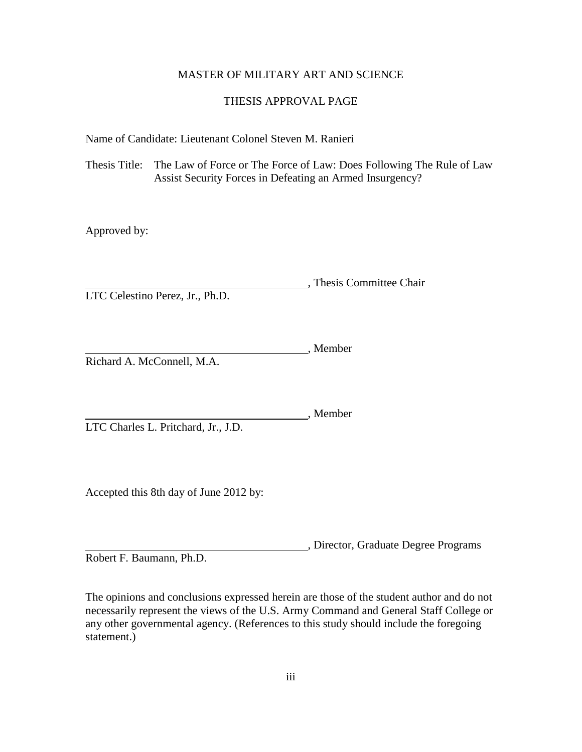## MASTER OF MILITARY ART AND SCIENCE

## THESIS APPROVAL PAGE

Name of Candidate: Lieutenant Colonel Steven M. Ranieri

Thesis Title: The Law of Force or The Force of Law: Does Following The Rule of Law Assist Security Forces in Defeating an Armed Insurgency?

Approved by:

, Thesis Committee Chair LTC Celestino Perez, Jr., Ph.D.

**Member**, Member Richard A. McConnell, M.A.

Member LTC Charles L. Pritchard, Jr., J.D.

Accepted this 8th day of June 2012 by:

, Director, Graduate Degree Programs Robert F. Baumann, Ph.D.

The opinions and conclusions expressed herein are those of the student author and do not necessarily represent the views of the U.S. Army Command and General Staff College or any other governmental agency. (References to this study should include the foregoing statement.)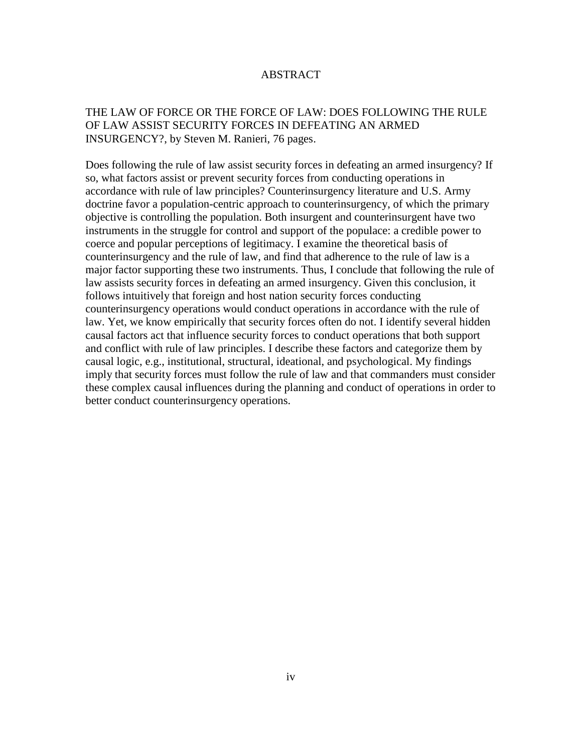## ABSTRACT

## THE LAW OF FORCE OR THE FORCE OF LAW: DOES FOLLOWING THE RULE OF LAW ASSIST SECURITY FORCES IN DEFEATING AN ARMED INSURGENCY?, by Steven M. Ranieri, 76 pages.

Does following the rule of law assist security forces in defeating an armed insurgency? If so, what factors assist or prevent security forces from conducting operations in accordance with rule of law principles? Counterinsurgency literature and U.S. Army doctrine favor a population-centric approach to counterinsurgency, of which the primary objective is controlling the population. Both insurgent and counterinsurgent have two instruments in the struggle for control and support of the populace: a credible power to coerce and popular perceptions of legitimacy. I examine the theoretical basis of counterinsurgency and the rule of law, and find that adherence to the rule of law is a major factor supporting these two instruments. Thus, I conclude that following the rule of law assists security forces in defeating an armed insurgency. Given this conclusion, it follows intuitively that foreign and host nation security forces conducting counterinsurgency operations would conduct operations in accordance with the rule of law. Yet, we know empirically that security forces often do not. I identify several hidden causal factors act that influence security forces to conduct operations that both support and conflict with rule of law principles. I describe these factors and categorize them by causal logic, e.g., institutional, structural, ideational, and psychological. My findings imply that security forces must follow the rule of law and that commanders must consider these complex causal influences during the planning and conduct of operations in order to better conduct counterinsurgency operations.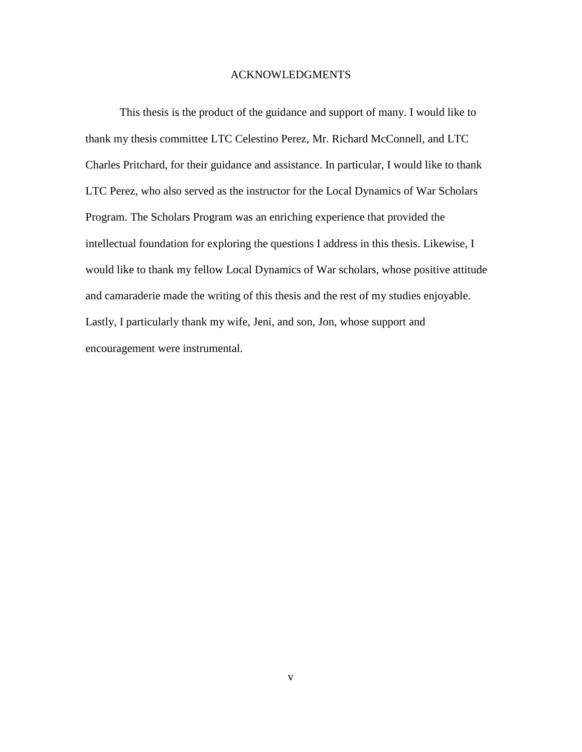### ACKNOWLEDGMENTS

This thesis is the product of the guidance and support of many. I would like to thank my thesis committee LTC Celestino Perez, Mr. Richard McConnell, and LTC Charles Pritchard, for their guidance and assistance. In particular, I would like to thank LTC Perez, who also served as the instructor for the Local Dynamics of War Scholars Program. The Scholars Program was an enriching experience that provided the intellectual foundation for exploring the questions I address in this thesis. Likewise, I would like to thank my fellow Local Dynamics of War scholars, whose positive attitude and camaraderie made the writing of this thesis and the rest of my studies enjoyable. Lastly, I particularly thank my wife, Jeni, and son, Jon, whose support and encouragement were instrumental.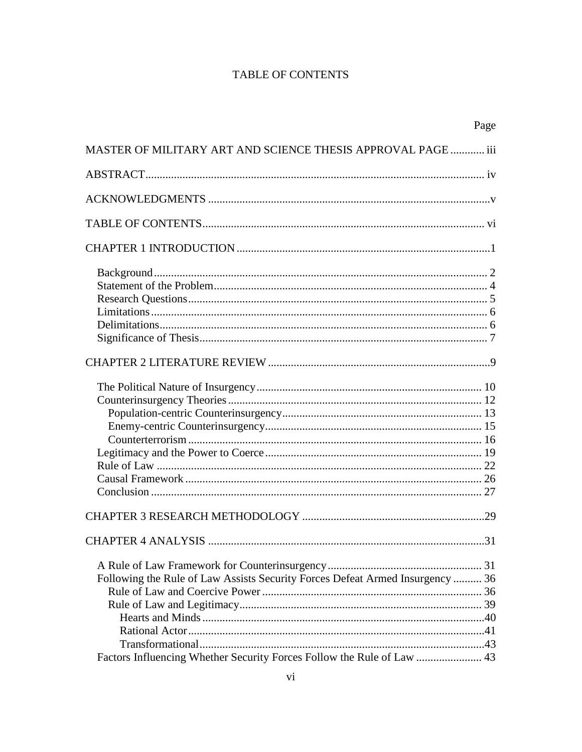# **TABLE OF CONTENTS**

|                                                                                                                                                         | Page |
|---------------------------------------------------------------------------------------------------------------------------------------------------------|------|
| MASTER OF MILITARY ART AND SCIENCE THESIS APPROVAL PAGE  iii                                                                                            |      |
|                                                                                                                                                         |      |
|                                                                                                                                                         |      |
|                                                                                                                                                         |      |
|                                                                                                                                                         |      |
|                                                                                                                                                         |      |
|                                                                                                                                                         |      |
|                                                                                                                                                         |      |
|                                                                                                                                                         |      |
|                                                                                                                                                         |      |
| Following the Rule of Law Assists Security Forces Defeat Armed Insurgency  36<br>Factors Influencing Whether Security Forces Follow the Rule of Law  43 |      |
|                                                                                                                                                         |      |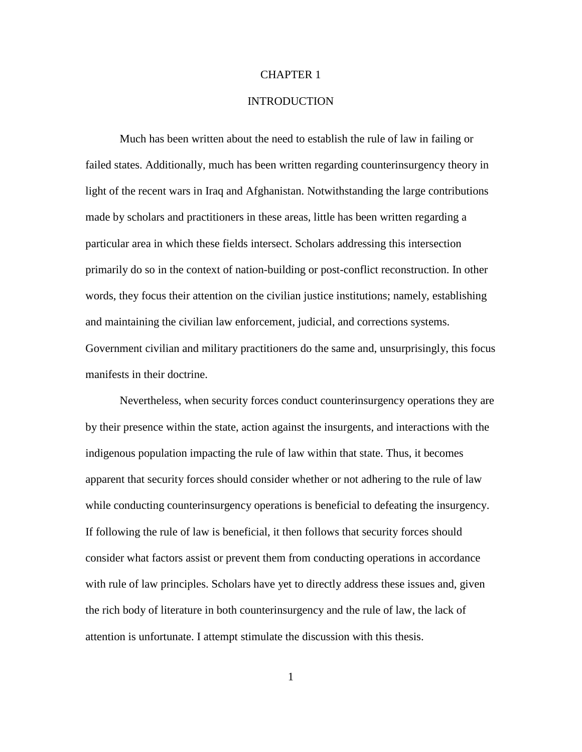#### CHAPTER 1

#### **INTRODUCTION**

Much has been written about the need to establish the rule of law in failing or failed states. Additionally, much has been written regarding counterinsurgency theory in light of the recent wars in Iraq and Afghanistan. Notwithstanding the large contributions made by scholars and practitioners in these areas, little has been written regarding a particular area in which these fields intersect. Scholars addressing this intersection primarily do so in the context of nation-building or post-conflict reconstruction. In other words, they focus their attention on the civilian justice institutions; namely, establishing and maintaining the civilian law enforcement, judicial, and corrections systems. Government civilian and military practitioners do the same and, unsurprisingly, this focus manifests in their doctrine.

Nevertheless, when security forces conduct counterinsurgency operations they are by their presence within the state, action against the insurgents, and interactions with the indigenous population impacting the rule of law within that state. Thus, it becomes apparent that security forces should consider whether or not adhering to the rule of law while conducting counterinsurgency operations is beneficial to defeating the insurgency. If following the rule of law is beneficial, it then follows that security forces should consider what factors assist or prevent them from conducting operations in accordance with rule of law principles. Scholars have yet to directly address these issues and, given the rich body of literature in both counterinsurgency and the rule of law, the lack of attention is unfortunate. I attempt stimulate the discussion with this thesis.

1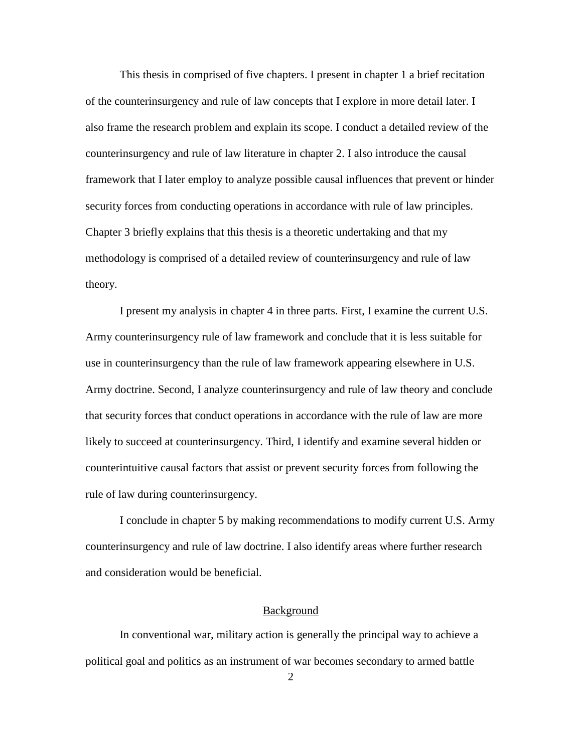This thesis in comprised of five chapters. I present in chapter 1 a brief recitation of the counterinsurgency and rule of law concepts that I explore in more detail later. I also frame the research problem and explain its scope. I conduct a detailed review of the counterinsurgency and rule of law literature in chapter 2. I also introduce the causal framework that I later employ to analyze possible causal influences that prevent or hinder security forces from conducting operations in accordance with rule of law principles. Chapter 3 briefly explains that this thesis is a theoretic undertaking and that my methodology is comprised of a detailed review of counterinsurgency and rule of law theory.

I present my analysis in chapter 4 in three parts. First, I examine the current U.S. Army counterinsurgency rule of law framework and conclude that it is less suitable for use in counterinsurgency than the rule of law framework appearing elsewhere in U.S. Army doctrine. Second, I analyze counterinsurgency and rule of law theory and conclude that security forces that conduct operations in accordance with the rule of law are more likely to succeed at counterinsurgency. Third, I identify and examine several hidden or counterintuitive causal factors that assist or prevent security forces from following the rule of law during counterinsurgency.

I conclude in chapter 5 by making recommendations to modify current U.S. Army counterinsurgency and rule of law doctrine. I also identify areas where further research and consideration would be beneficial.

#### Background

In conventional war, military action is generally the principal way to achieve a political goal and politics as an instrument of war becomes secondary to armed battle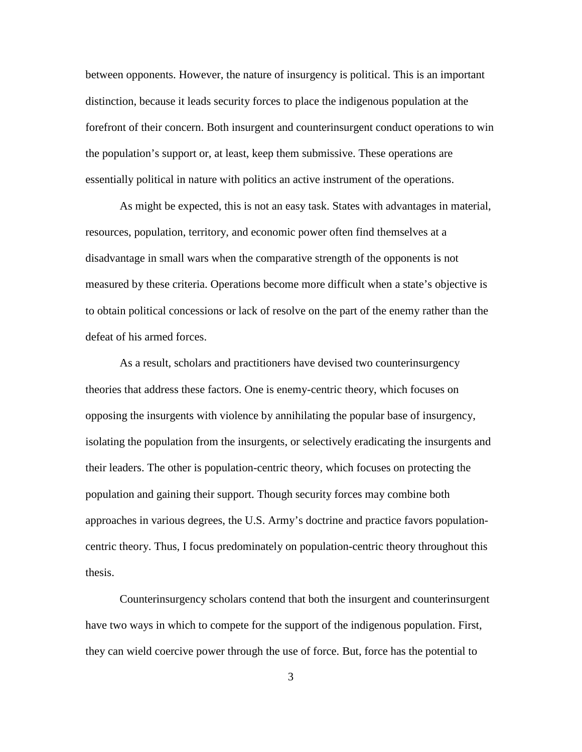between opponents. However, the nature of insurgency is political. This is an important distinction, because it leads security forces to place the indigenous population at the forefront of their concern. Both insurgent and counterinsurgent conduct operations to win the population's support or, at least, keep them submissive. These operations are essentially political in nature with politics an active instrument of the operations.

As might be expected, this is not an easy task. States with advantages in material, resources, population, territory, and economic power often find themselves at a disadvantage in small wars when the comparative strength of the opponents is not measured by these criteria. Operations become more difficult when a state's objective is to obtain political concessions or lack of resolve on the part of the enemy rather than the defeat of his armed forces.

As a result, scholars and practitioners have devised two counterinsurgency theories that address these factors. One is enemy-centric theory, which focuses on opposing the insurgents with violence by annihilating the popular base of insurgency, isolating the population from the insurgents, or selectively eradicating the insurgents and their leaders. The other is population-centric theory, which focuses on protecting the population and gaining their support. Though security forces may combine both approaches in various degrees, the U.S. Army's doctrine and practice favors populationcentric theory. Thus, I focus predominately on population-centric theory throughout this thesis.

Counterinsurgency scholars contend that both the insurgent and counterinsurgent have two ways in which to compete for the support of the indigenous population. First, they can wield coercive power through the use of force. But, force has the potential to

3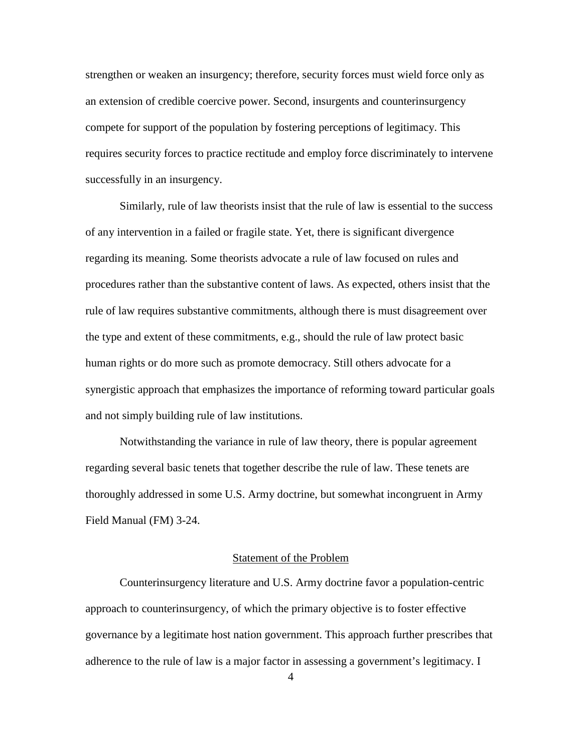strengthen or weaken an insurgency; therefore, security forces must wield force only as an extension of credible coercive power. Second, insurgents and counterinsurgency compete for support of the population by fostering perceptions of legitimacy. This requires security forces to practice rectitude and employ force discriminately to intervene successfully in an insurgency.

Similarly, rule of law theorists insist that the rule of law is essential to the success of any intervention in a failed or fragile state. Yet, there is significant divergence regarding its meaning. Some theorists advocate a rule of law focused on rules and procedures rather than the substantive content of laws. As expected, others insist that the rule of law requires substantive commitments, although there is must disagreement over the type and extent of these commitments, e.g., should the rule of law protect basic human rights or do more such as promote democracy. Still others advocate for a synergistic approach that emphasizes the importance of reforming toward particular goals and not simply building rule of law institutions.

Notwithstanding the variance in rule of law theory, there is popular agreement regarding several basic tenets that together describe the rule of law. These tenets are thoroughly addressed in some U.S. Army doctrine, but somewhat incongruent in Army Field Manual (FM) 3-24.

### Statement of the Problem

Counterinsurgency literature and U.S. Army doctrine favor a population-centric approach to counterinsurgency, of which the primary objective is to foster effective governance by a legitimate host nation government. This approach further prescribes that adherence to the rule of law is a major factor in assessing a government's legitimacy. I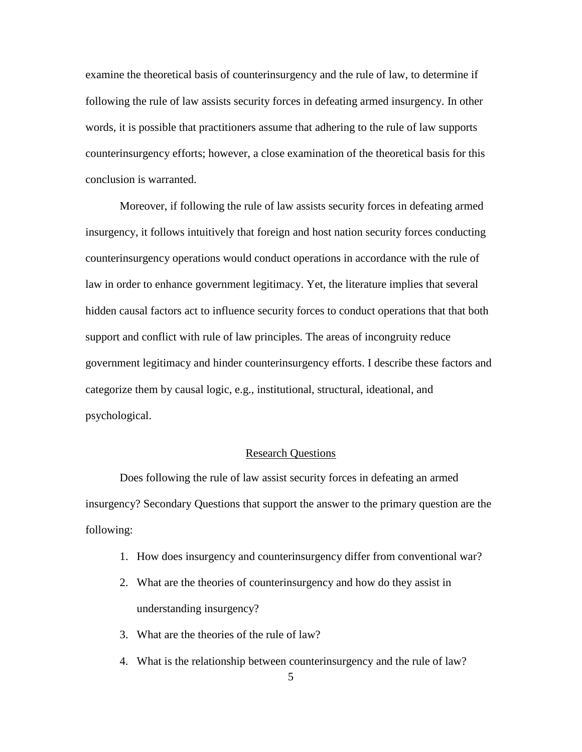examine the theoretical basis of counterinsurgency and the rule of law, to determine if following the rule of law assists security forces in defeating armed insurgency. In other words, it is possible that practitioners assume that adhering to the rule of law supports counterinsurgency efforts; however, a close examination of the theoretical basis for this conclusion is warranted.

Moreover, if following the rule of law assists security forces in defeating armed insurgency, it follows intuitively that foreign and host nation security forces conducting counterinsurgency operations would conduct operations in accordance with the rule of law in order to enhance government legitimacy. Yet, the literature implies that several hidden causal factors act to influence security forces to conduct operations that that both support and conflict with rule of law principles. The areas of incongruity reduce government legitimacy and hinder counterinsurgency efforts. I describe these factors and categorize them by causal logic, e.g., institutional, structural, ideational, and psychological.

#### Research Questions

Does following the rule of law assist security forces in defeating an armed insurgency? Secondary Questions that support the answer to the primary question are the following:

- 1. How does insurgency and counterinsurgency differ from conventional war?
- 2. What are the theories of counterinsurgency and how do they assist in understanding insurgency?
- 3. What are the theories of the rule of law?
- 4. What is the relationship between counterinsurgency and the rule of law?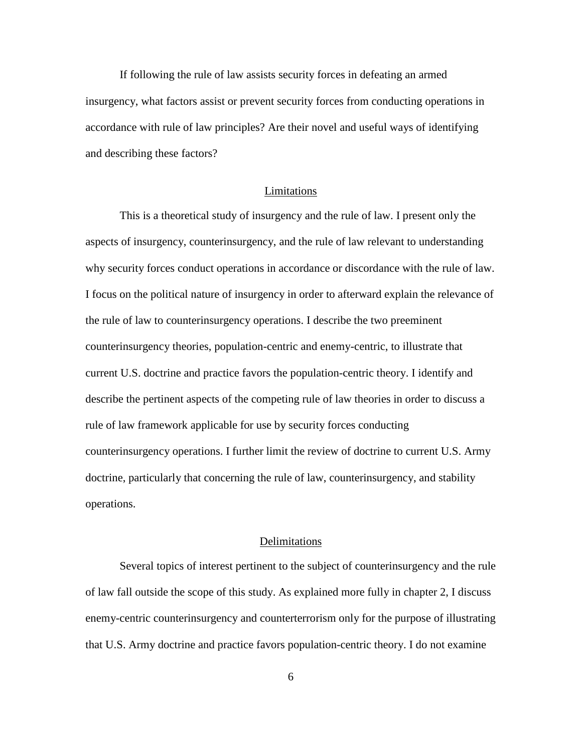If following the rule of law assists security forces in defeating an armed insurgency, what factors assist or prevent security forces from conducting operations in accordance with rule of law principles? Are their novel and useful ways of identifying and describing these factors?

#### Limitations

This is a theoretical study of insurgency and the rule of law. I present only the aspects of insurgency, counterinsurgency, and the rule of law relevant to understanding why security forces conduct operations in accordance or discordance with the rule of law. I focus on the political nature of insurgency in order to afterward explain the relevance of the rule of law to counterinsurgency operations. I describe the two preeminent counterinsurgency theories, population-centric and enemy-centric, to illustrate that current U.S. doctrine and practice favors the population-centric theory. I identify and describe the pertinent aspects of the competing rule of law theories in order to discuss a rule of law framework applicable for use by security forces conducting counterinsurgency operations. I further limit the review of doctrine to current U.S. Army doctrine, particularly that concerning the rule of law, counterinsurgency, and stability operations.

#### Delimitations

Several topics of interest pertinent to the subject of counterinsurgency and the rule of law fall outside the scope of this study. As explained more fully in chapter 2, I discuss enemy-centric counterinsurgency and counterterrorism only for the purpose of illustrating that U.S. Army doctrine and practice favors population-centric theory. I do not examine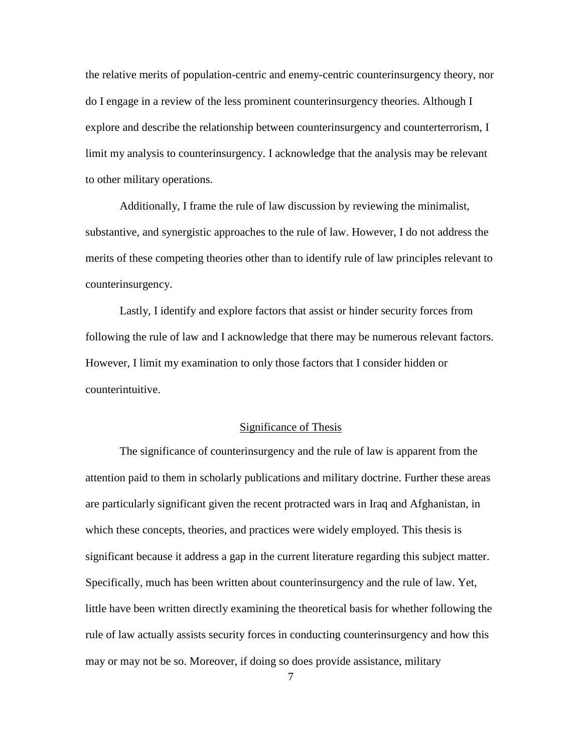the relative merits of population-centric and enemy-centric counterinsurgency theory, nor do I engage in a review of the less prominent counterinsurgency theories. Although I explore and describe the relationship between counterinsurgency and counterterrorism, I limit my analysis to counterinsurgency. I acknowledge that the analysis may be relevant to other military operations.

Additionally, I frame the rule of law discussion by reviewing the minimalist, substantive, and synergistic approaches to the rule of law. However, I do not address the merits of these competing theories other than to identify rule of law principles relevant to counterinsurgency.

Lastly, I identify and explore factors that assist or hinder security forces from following the rule of law and I acknowledge that there may be numerous relevant factors. However, I limit my examination to only those factors that I consider hidden or counterintuitive.

#### Significance of Thesis

The significance of counterinsurgency and the rule of law is apparent from the attention paid to them in scholarly publications and military doctrine. Further these areas are particularly significant given the recent protracted wars in Iraq and Afghanistan, in which these concepts, theories, and practices were widely employed. This thesis is significant because it address a gap in the current literature regarding this subject matter. Specifically, much has been written about counterinsurgency and the rule of law. Yet, little have been written directly examining the theoretical basis for whether following the rule of law actually assists security forces in conducting counterinsurgency and how this may or may not be so. Moreover, if doing so does provide assistance, military

7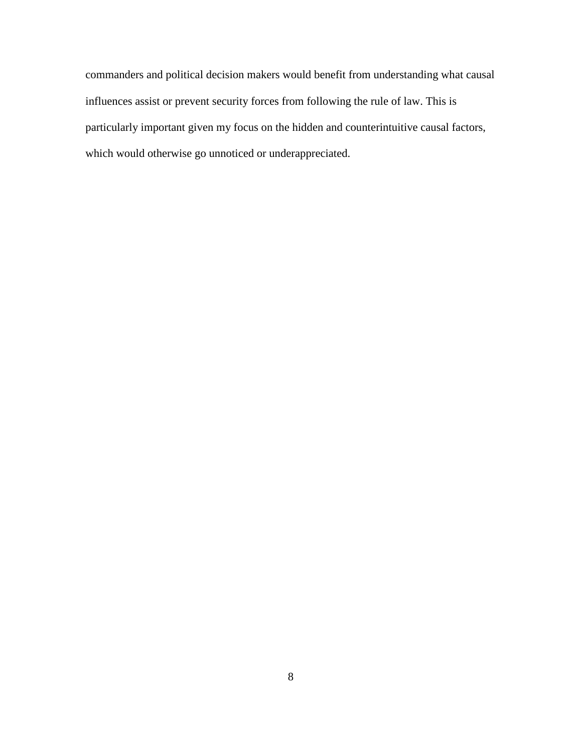commanders and political decision makers would benefit from understanding what causal influences assist or prevent security forces from following the rule of law. This is particularly important given my focus on the hidden and counterintuitive causal factors, which would otherwise go unnoticed or underappreciated.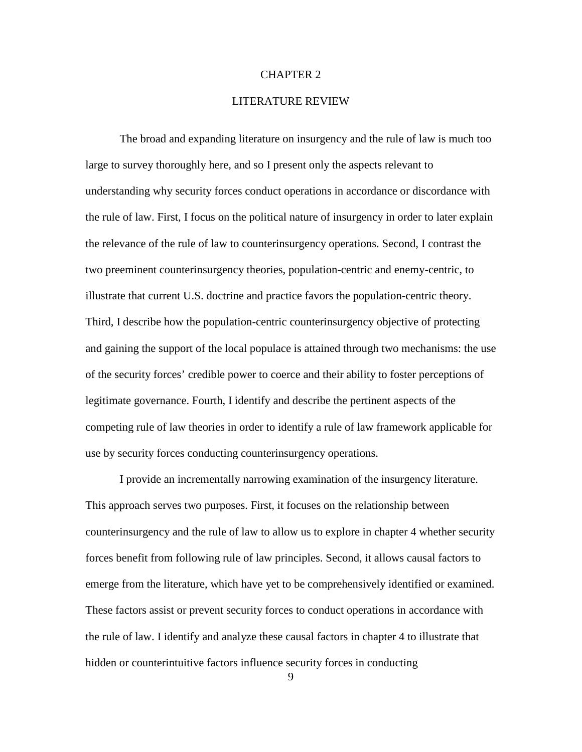#### CHAPTER 2

#### LITERATURE REVIEW

The broad and expanding literature on insurgency and the rule of law is much too large to survey thoroughly here, and so I present only the aspects relevant to understanding why security forces conduct operations in accordance or discordance with the rule of law. First, I focus on the political nature of insurgency in order to later explain the relevance of the rule of law to counterinsurgency operations. Second, I contrast the two preeminent counterinsurgency theories, population-centric and enemy-centric, to illustrate that current U.S. doctrine and practice favors the population-centric theory. Third, I describe how the population-centric counterinsurgency objective of protecting and gaining the support of the local populace is attained through two mechanisms: the use of the security forces' credible power to coerce and their ability to foster perceptions of legitimate governance. Fourth, I identify and describe the pertinent aspects of the competing rule of law theories in order to identify a rule of law framework applicable for use by security forces conducting counterinsurgency operations.

I provide an incrementally narrowing examination of the insurgency literature. This approach serves two purposes. First, it focuses on the relationship between counterinsurgency and the rule of law to allow us to explore in chapter 4 whether security forces benefit from following rule of law principles. Second, it allows causal factors to emerge from the literature, which have yet to be comprehensively identified or examined. These factors assist or prevent security forces to conduct operations in accordance with the rule of law. I identify and analyze these causal factors in chapter 4 to illustrate that hidden or counterintuitive factors influence security forces in conducting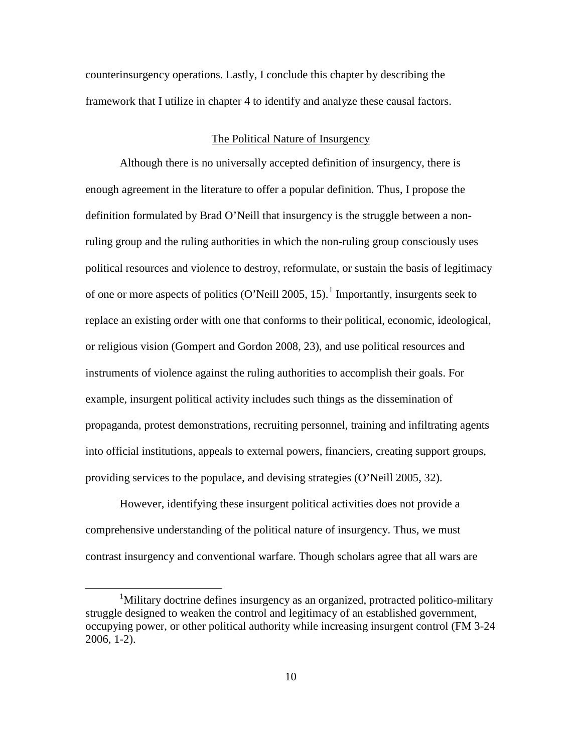counterinsurgency operations. Lastly, I conclude this chapter by describing the framework that I utilize in chapter 4 to identify and analyze these causal factors.

#### The Political Nature of Insurgency

Although there is no universally accepted definition of insurgency, there is enough agreement in the literature to offer a popular definition. Thus, I propose the definition formulated by Brad O'Neill that insurgency is the struggle between a nonruling group and the ruling authorities in which the non-ruling group consciously uses political resources and violence to destroy, reformulate, or sustain the basis of legitimacy of one or more aspects of politics (O'Neill 2005, [1](#page-16-0)5).<sup>1</sup> Importantly, insurgents seek to replace an existing order with one that conforms to their political, economic, ideological, or religious vision (Gompert and Gordon 2008, 23), and use political resources and instruments of violence against the ruling authorities to accomplish their goals. For example, insurgent political activity includes such things as the dissemination of propaganda, protest demonstrations, recruiting personnel, training and infiltrating agents into official institutions, appeals to external powers, financiers, creating support groups, providing services to the populace, and devising strategies (O'Neill 2005, 32).

However, identifying these insurgent political activities does not provide a comprehensive understanding of the political nature of insurgency. Thus, we must contrast insurgency and conventional warfare. Though scholars agree that all wars are

<span id="page-16-0"></span><sup>&</sup>lt;u>1</u> Military doctrine defines insurgency as an organized, protracted politico-military struggle designed to weaken the control and legitimacy of an established government, occupying power, or other political authority while increasing insurgent control (FM 3-24 2006, 1-2).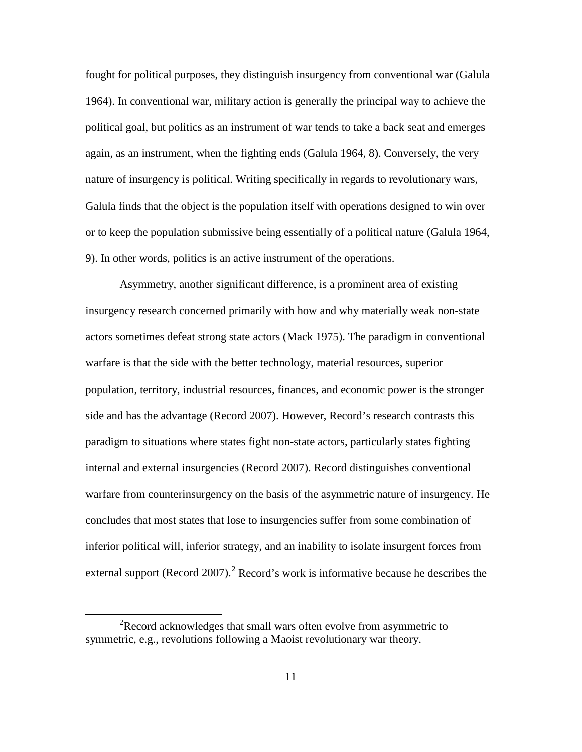fought for political purposes, they distinguish insurgency from conventional war (Galula 1964). In conventional war, military action is generally the principal way to achieve the political goal, but politics as an instrument of war tends to take a back seat and emerges again, as an instrument, when the fighting ends (Galula 1964, 8). Conversely, the very nature of insurgency is political. Writing specifically in regards to revolutionary wars, Galula finds that the object is the population itself with operations designed to win over or to keep the population submissive being essentially of a political nature (Galula 1964, 9). In other words, politics is an active instrument of the operations.

Asymmetry, another significant difference, is a prominent area of existing insurgency research concerned primarily with how and why materially weak non-state actors sometimes defeat strong state actors (Mack 1975). The paradigm in conventional warfare is that the side with the better technology, material resources, superior population, territory, industrial resources, finances, and economic power is the stronger side and has the advantage (Record 2007). However, Record's research contrasts this paradigm to situations where states fight non-state actors, particularly states fighting internal and external insurgencies (Record 2007). Record distinguishes conventional warfare from counterinsurgency on the basis of the asymmetric nature of insurgency. He concludes that most states that lose to insurgencies suffer from some combination of inferior political will, inferior strategy, and an inability to isolate insurgent forces from external support (Record [2](#page-17-0)007).<sup>2</sup> Record's work is informative because he describes the

<span id="page-17-0"></span> $\overline{\phantom{a}2}$  $R$  Record acknowledges that small wars often evolve from asymmetric to symmetric, e.g., revolutions following a Maoist revolutionary war theory.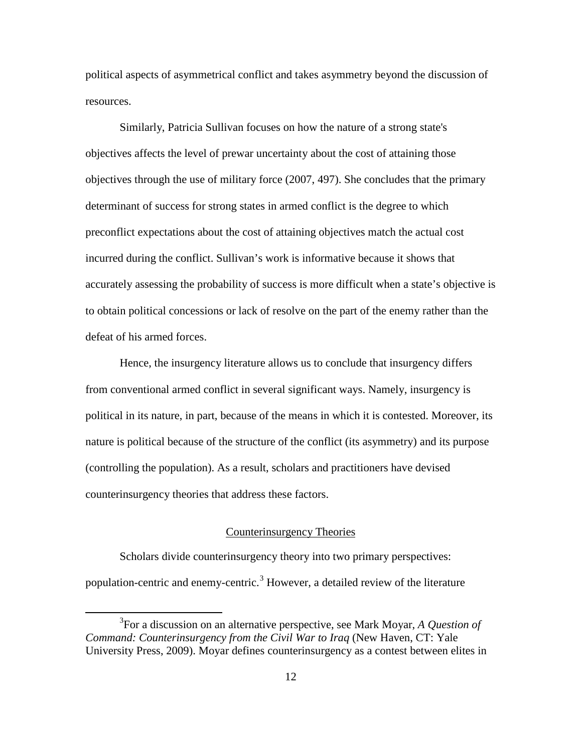political aspects of asymmetrical conflict and takes asymmetry beyond the discussion of resources.

Similarly, Patricia Sullivan focuses on how the nature of a strong state's objectives affects the level of prewar uncertainty about the cost of attaining those objectives through the use of military force (2007, 497). She concludes that the primary determinant of success for strong states in armed conflict is the degree to which preconflict expectations about the cost of attaining objectives match the actual cost incurred during the conflict. Sullivan's work is informative because it shows that accurately assessing the probability of success is more difficult when a state's objective is to obtain political concessions or lack of resolve on the part of the enemy rather than the defeat of his armed forces.

Hence, the insurgency literature allows us to conclude that insurgency differs from conventional armed conflict in several significant ways. Namely, insurgency is political in its nature, in part, because of the means in which it is contested. Moreover, its nature is political because of the structure of the conflict (its asymmetry) and its purpose (controlling the population). As a result, scholars and practitioners have devised counterinsurgency theories that address these factors.

## Counterinsurgency Theories

Scholars divide counterinsurgency theory into two primary perspectives: population-centric and enemy-centric.<sup>[3](#page-18-0)</sup> However, a detailed review of the literature

<span id="page-18-0"></span> $\frac{3}{3}$ For a discussion on an alternative perspective, see Mark Moyar, *A Question of Command: Counterinsurgency from the Civil War to Iraq* (New Haven, CT: Yale University Press, 2009). Moyar defines counterinsurgency as a contest between elites in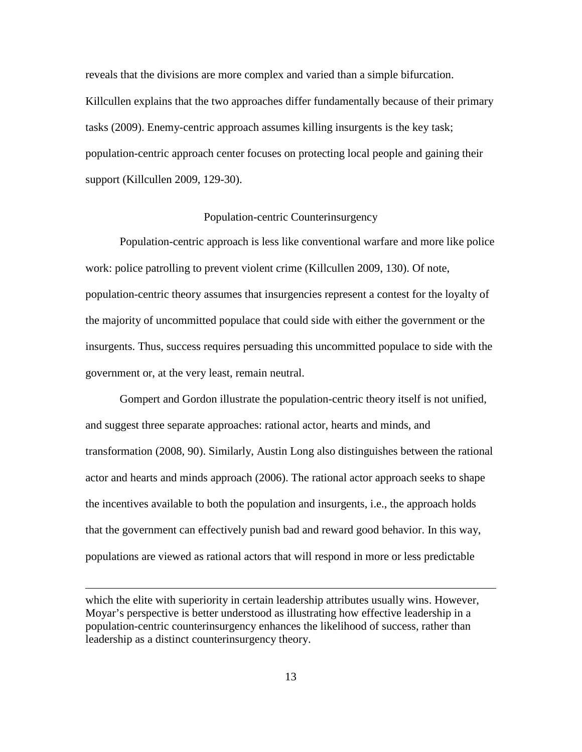reveals that the divisions are more complex and varied than a simple bifurcation. Killcullen explains that the two approaches differ fundamentally because of their primary tasks (2009). Enemy-centric approach assumes killing insurgents is the key task; population-centric approach center focuses on protecting local people and gaining their support (Killcullen 2009, 129-30).

#### Population-centric Counterinsurgency

Population-centric approach is less like conventional warfare and more like police work: police patrolling to prevent violent crime (Killcullen 2009, 130). Of note, population-centric theory assumes that insurgencies represent a contest for the loyalty of the majority of uncommitted populace that could side with either the government or the insurgents. Thus, success requires persuading this uncommitted populace to side with the government or, at the very least, remain neutral.

Gompert and Gordon illustrate the population-centric theory itself is not unified, and suggest three separate approaches: rational actor, hearts and minds, and transformation (2008, 90). Similarly, Austin Long also distinguishes between the rational actor and hearts and minds approach (2006). The rational actor approach seeks to shape the incentives available to both the population and insurgents, i.e., the approach holds that the government can effectively punish bad and reward good behavior. In this way, populations are viewed as rational actors that will respond in more or less predictable

which the elite with superiority in certain leadership attributes usually wins. However, Moyar's perspective is better understood as illustrating how effective leadership in a population-centric counterinsurgency enhances the likelihood of success, rather than leadership as a distinct counterinsurgency theory.

 $\overline{a}$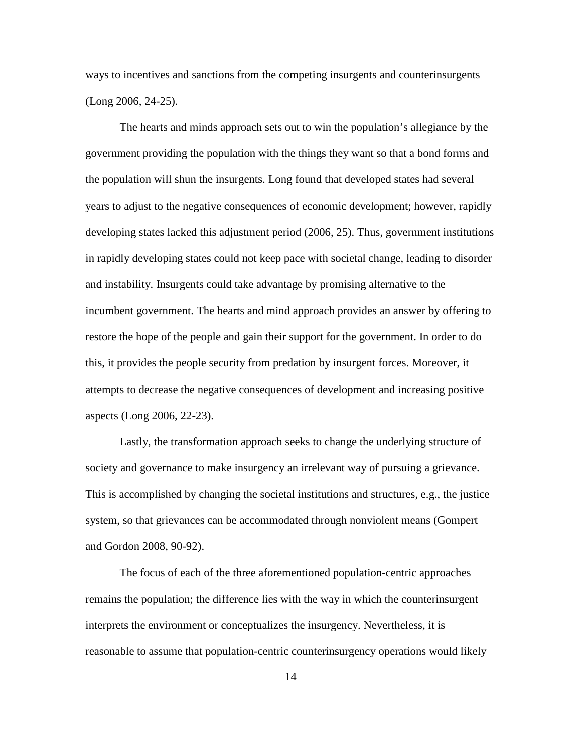ways to incentives and sanctions from the competing insurgents and counterinsurgents (Long 2006, 24-25).

The hearts and minds approach sets out to win the population's allegiance by the government providing the population with the things they want so that a bond forms and the population will shun the insurgents. Long found that developed states had several years to adjust to the negative consequences of economic development; however, rapidly developing states lacked this adjustment period (2006, 25). Thus, government institutions in rapidly developing states could not keep pace with societal change, leading to disorder and instability. Insurgents could take advantage by promising alternative to the incumbent government. The hearts and mind approach provides an answer by offering to restore the hope of the people and gain their support for the government. In order to do this, it provides the people security from predation by insurgent forces. Moreover, it attempts to decrease the negative consequences of development and increasing positive aspects (Long 2006, 22-23).

Lastly, the transformation approach seeks to change the underlying structure of society and governance to make insurgency an irrelevant way of pursuing a grievance. This is accomplished by changing the societal institutions and structures, e.g., the justice system, so that grievances can be accommodated through nonviolent means (Gompert and Gordon 2008, 90-92).

The focus of each of the three aforementioned population-centric approaches remains the population; the difference lies with the way in which the counterinsurgent interprets the environment or conceptualizes the insurgency. Nevertheless, it is reasonable to assume that population-centric counterinsurgency operations would likely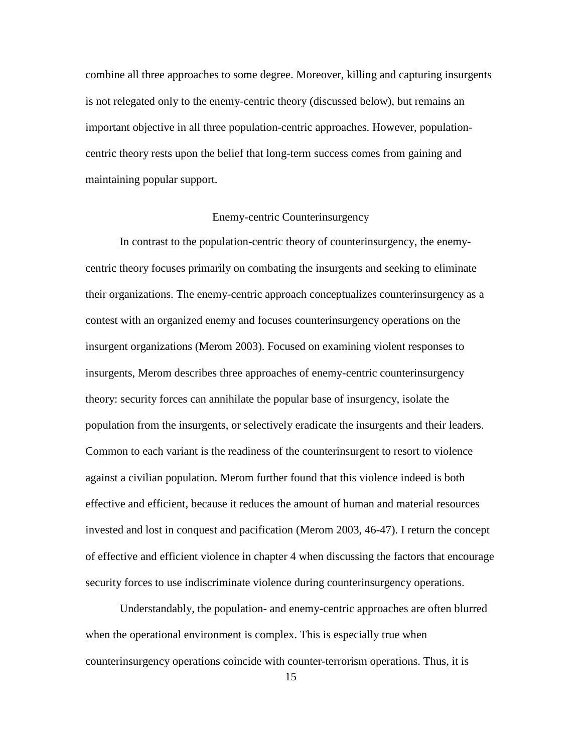combine all three approaches to some degree. Moreover, killing and capturing insurgents is not relegated only to the enemy-centric theory (discussed below), but remains an important objective in all three population-centric approaches. However, populationcentric theory rests upon the belief that long-term success comes from gaining and maintaining popular support.

#### Enemy-centric Counterinsurgency

In contrast to the population-centric theory of counterinsurgency, the enemycentric theory focuses primarily on combating the insurgents and seeking to eliminate their organizations. The enemy-centric approach conceptualizes counterinsurgency as a contest with an organized enemy and focuses counterinsurgency operations on the insurgent organizations (Merom 2003). Focused on examining violent responses to insurgents, Merom describes three approaches of enemy-centric counterinsurgency theory: security forces can annihilate the popular base of insurgency, isolate the population from the insurgents, or selectively eradicate the insurgents and their leaders. Common to each variant is the readiness of the counterinsurgent to resort to violence against a civilian population. Merom further found that this violence indeed is both effective and efficient, because it reduces the amount of human and material resources invested and lost in conquest and pacification (Merom 2003, 46-47). I return the concept of effective and efficient violence in chapter 4 when discussing the factors that encourage security forces to use indiscriminate violence during counterinsurgency operations.

Understandably, the population- and enemy-centric approaches are often blurred when the operational environment is complex. This is especially true when counterinsurgency operations coincide with counter-terrorism operations. Thus, it is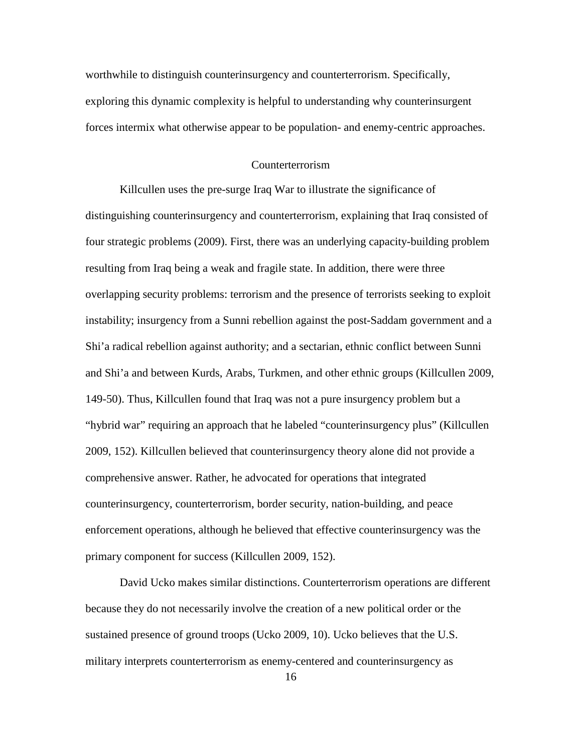worthwhile to distinguish counterinsurgency and counterterrorism. Specifically, exploring this dynamic complexity is helpful to understanding why counterinsurgent forces intermix what otherwise appear to be population- and enemy-centric approaches.

#### Counterterrorism

Killcullen uses the pre-surge Iraq War to illustrate the significance of distinguishing counterinsurgency and counterterrorism, explaining that Iraq consisted of four strategic problems (2009). First, there was an underlying capacity-building problem resulting from Iraq being a weak and fragile state. In addition, there were three overlapping security problems: terrorism and the presence of terrorists seeking to exploit instability; insurgency from a Sunni rebellion against the post-Saddam government and a Shi'a radical rebellion against authority; and a sectarian, ethnic conflict between Sunni and Shi'a and between Kurds, Arabs, Turkmen, and other ethnic groups (Killcullen 2009, 149-50). Thus, Killcullen found that Iraq was not a pure insurgency problem but a "hybrid war" requiring an approach that he labeled "counterinsurgency plus" (Killcullen 2009, 152). Killcullen believed that counterinsurgency theory alone did not provide a comprehensive answer. Rather, he advocated for operations that integrated counterinsurgency, counterterrorism, border security, nation-building, and peace enforcement operations, although he believed that effective counterinsurgency was the primary component for success (Killcullen 2009, 152).

David Ucko makes similar distinctions. Counterterrorism operations are different because they do not necessarily involve the creation of a new political order or the sustained presence of ground troops (Ucko 2009, 10). Ucko believes that the U.S. military interprets counterterrorism as enemy-centered and counterinsurgency as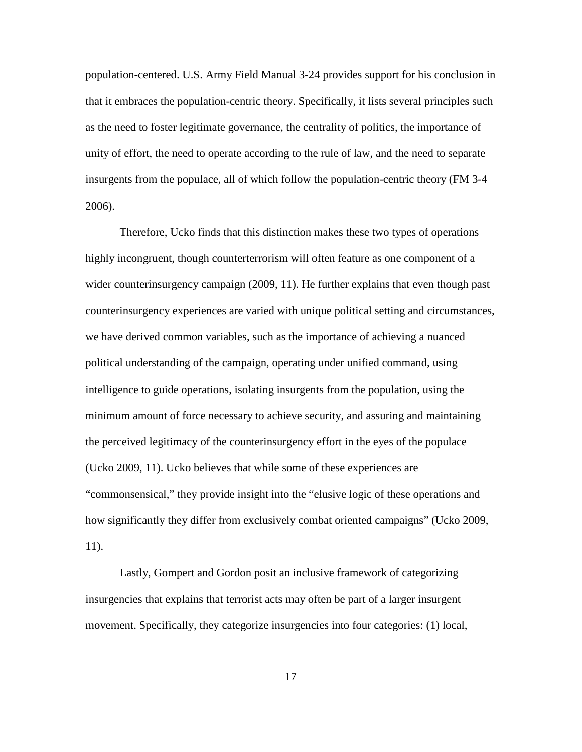population-centered. U.S. Army Field Manual 3-24 provides support for his conclusion in that it embraces the population-centric theory. Specifically, it lists several principles such as the need to foster legitimate governance, the centrality of politics, the importance of unity of effort, the need to operate according to the rule of law, and the need to separate insurgents from the populace, all of which follow the population-centric theory (FM 3-4 2006).

Therefore, Ucko finds that this distinction makes these two types of operations highly incongruent, though counterterrorism will often feature as one component of a wider counterinsurgency campaign (2009, 11). He further explains that even though past counterinsurgency experiences are varied with unique political setting and circumstances, we have derived common variables, such as the importance of achieving a nuanced political understanding of the campaign, operating under unified command, using intelligence to guide operations, isolating insurgents from the population, using the minimum amount of force necessary to achieve security, and assuring and maintaining the perceived legitimacy of the counterinsurgency effort in the eyes of the populace (Ucko 2009, 11). Ucko believes that while some of these experiences are "commonsensical," they provide insight into the "elusive logic of these operations and how significantly they differ from exclusively combat oriented campaigns" (Ucko 2009, 11).

Lastly, Gompert and Gordon posit an inclusive framework of categorizing insurgencies that explains that terrorist acts may often be part of a larger insurgent movement. Specifically, they categorize insurgencies into four categories: (1) local,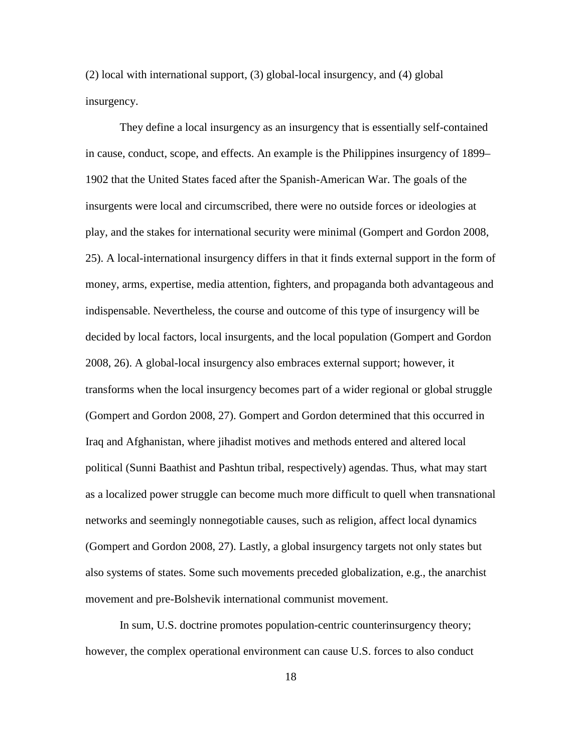(2) local with international support, (3) global-local insurgency, and (4) global insurgency.

They define a local insurgency as an insurgency that is essentially self-contained in cause, conduct, scope, and effects. An example is the Philippines insurgency of 1899– 1902 that the United States faced after the Spanish-American War. The goals of the insurgents were local and circumscribed, there were no outside forces or ideologies at play, and the stakes for international security were minimal (Gompert and Gordon 2008, 25). A local-international insurgency differs in that it finds external support in the form of money, arms, expertise, media attention, fighters, and propaganda both advantageous and indispensable. Nevertheless, the course and outcome of this type of insurgency will be decided by local factors, local insurgents, and the local population (Gompert and Gordon 2008, 26). A global-local insurgency also embraces external support; however, it transforms when the local insurgency becomes part of a wider regional or global struggle (Gompert and Gordon 2008, 27). Gompert and Gordon determined that this occurred in Iraq and Afghanistan, where jihadist motives and methods entered and altered local political (Sunni Baathist and Pashtun tribal, respectively) agendas. Thus, what may start as a localized power struggle can become much more difficult to quell when transnational networks and seemingly nonnegotiable causes, such as religion, affect local dynamics (Gompert and Gordon 2008, 27). Lastly, a global insurgency targets not only states but also systems of states. Some such movements preceded globalization, e.g., the anarchist movement and pre-Bolshevik international communist movement.

In sum, U.S. doctrine promotes population-centric counterinsurgency theory; however, the complex operational environment can cause U.S. forces to also conduct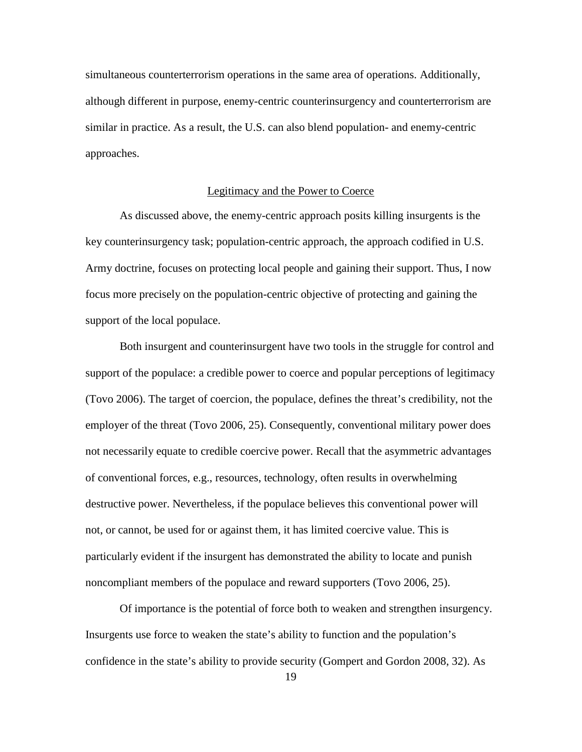simultaneous counterterrorism operations in the same area of operations. Additionally, although different in purpose, enemy-centric counterinsurgency and counterterrorism are similar in practice. As a result, the U.S. can also blend population- and enemy-centric approaches.

#### Legitimacy and the Power to Coerce

As discussed above, the enemy-centric approach posits killing insurgents is the key counterinsurgency task; population-centric approach, the approach codified in U.S. Army doctrine, focuses on protecting local people and gaining their support. Thus, I now focus more precisely on the population-centric objective of protecting and gaining the support of the local populace.

Both insurgent and counterinsurgent have two tools in the struggle for control and support of the populace: a credible power to coerce and popular perceptions of legitimacy (Tovo 2006). The target of coercion, the populace, defines the threat's credibility, not the employer of the threat (Tovo 2006, 25). Consequently, conventional military power does not necessarily equate to credible coercive power. Recall that the asymmetric advantages of conventional forces, e.g., resources, technology, often results in overwhelming destructive power. Nevertheless, if the populace believes this conventional power will not, or cannot, be used for or against them, it has limited coercive value. This is particularly evident if the insurgent has demonstrated the ability to locate and punish noncompliant members of the populace and reward supporters (Tovo 2006, 25).

Of importance is the potential of force both to weaken and strengthen insurgency. Insurgents use force to weaken the state's ability to function and the population's confidence in the state's ability to provide security (Gompert and Gordon 2008, 32). As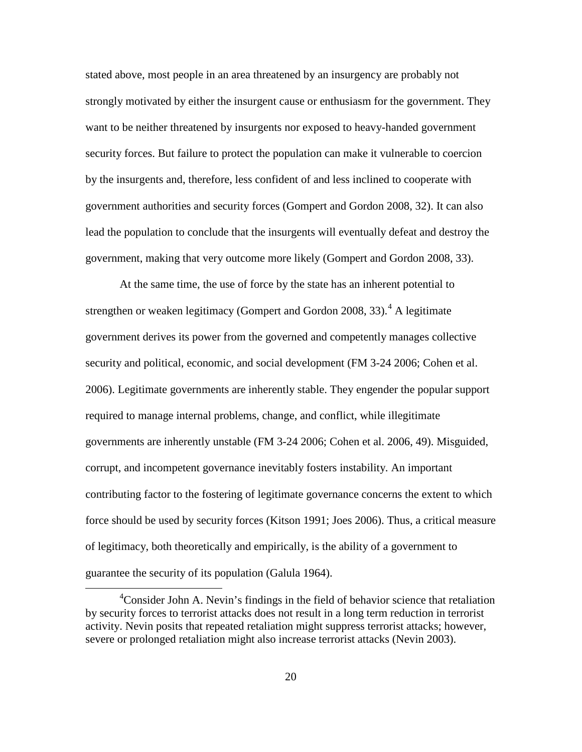stated above, most people in an area threatened by an insurgency are probably not strongly motivated by either the insurgent cause or enthusiasm for the government. They want to be neither threatened by insurgents nor exposed to heavy-handed government security forces. But failure to protect the population can make it vulnerable to coercion by the insurgents and, therefore, less confident of and less inclined to cooperate with government authorities and security forces (Gompert and Gordon 2008, 32). It can also lead the population to conclude that the insurgents will eventually defeat and destroy the government, making that very outcome more likely (Gompert and Gordon 2008, 33).

At the same time, the use of force by the state has an inherent potential to strengthen or weaken legitimacy (Gompert and Gordon 2008, 33).<sup>[4](#page-26-0)</sup> A legitimate government derives its power from the governed and competently manages collective security and political, economic, and social development (FM 3-24 2006; Cohen et al. 2006). Legitimate governments are inherently stable. They engender the popular support required to manage internal problems, change, and conflict, while illegitimate governments are inherently unstable (FM 3-24 2006; Cohen et al. 2006, 49). Misguided, corrupt, and incompetent governance inevitably fosters instability. An important contributing factor to the fostering of legitimate governance concerns the extent to which force should be used by security forces (Kitson 1991; Joes 2006). Thus, a critical measure of legitimacy, both theoretically and empirically, is the ability of a government to guarantee the security of its population (Galula 1964).

<span id="page-26-0"></span> $\frac{1}{4}$ <sup>4</sup> Consider John A. Nevin's findings in the field of behavior science that retaliation by security forces to terrorist attacks does not result in a long term reduction in terrorist activity. Nevin posits that repeated retaliation might suppress terrorist attacks; however, severe or prolonged retaliation might also increase terrorist attacks (Nevin 2003).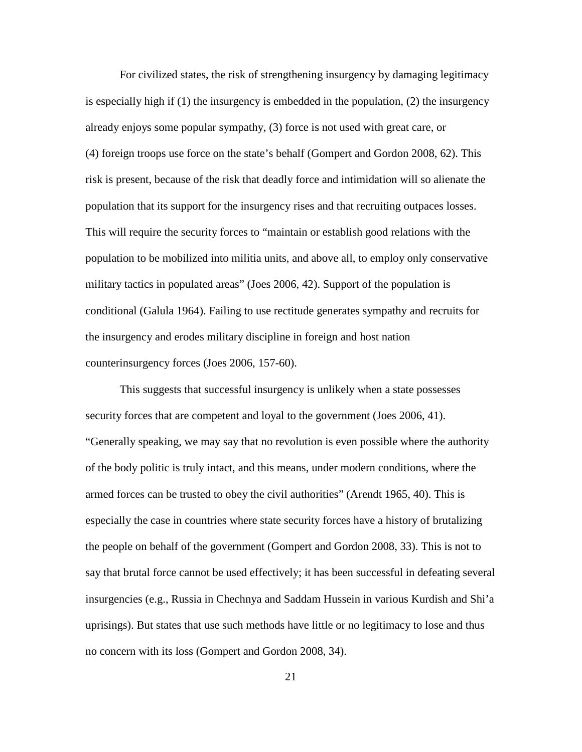For civilized states, the risk of strengthening insurgency by damaging legitimacy is especially high if (1) the insurgency is embedded in the population, (2) the insurgency already enjoys some popular sympathy, (3) force is not used with great care, or (4) foreign troops use force on the state's behalf (Gompert and Gordon 2008, 62). This risk is present, because of the risk that deadly force and intimidation will so alienate the population that its support for the insurgency rises and that recruiting outpaces losses. This will require the security forces to "maintain or establish good relations with the population to be mobilized into militia units, and above all, to employ only conservative military tactics in populated areas" (Joes 2006, 42). Support of the population is conditional (Galula 1964). Failing to use rectitude generates sympathy and recruits for the insurgency and erodes military discipline in foreign and host nation counterinsurgency forces (Joes 2006, 157-60).

This suggests that successful insurgency is unlikely when a state possesses security forces that are competent and loyal to the government (Joes 2006, 41). "Generally speaking, we may say that no revolution is even possible where the authority of the body politic is truly intact, and this means, under modern conditions, where the armed forces can be trusted to obey the civil authorities" (Arendt 1965, 40). This is especially the case in countries where state security forces have a history of brutalizing the people on behalf of the government (Gompert and Gordon 2008, 33). This is not to say that brutal force cannot be used effectively; it has been successful in defeating several insurgencies (e.g., Russia in Chechnya and Saddam Hussein in various Kurdish and Shi'a uprisings). But states that use such methods have little or no legitimacy to lose and thus no concern with its loss (Gompert and Gordon 2008, 34).

21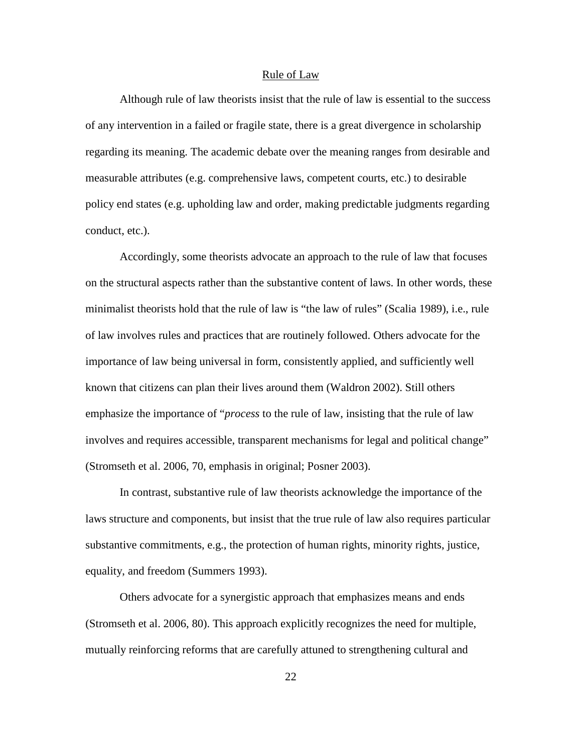#### Rule of Law

Although rule of law theorists insist that the rule of law is essential to the success of any intervention in a failed or fragile state, there is a great divergence in scholarship regarding its meaning. The academic debate over the meaning ranges from desirable and measurable attributes (e.g. comprehensive laws, competent courts, etc.) to desirable policy end states (e.g. upholding law and order, making predictable judgments regarding conduct, etc.).

Accordingly, some theorists advocate an approach to the rule of law that focuses on the structural aspects rather than the substantive content of laws. In other words, these minimalist theorists hold that the rule of law is "the law of rules" (Scalia 1989), i.e., rule of law involves rules and practices that are routinely followed. Others advocate for the importance of law being universal in form, consistently applied, and sufficiently well known that citizens can plan their lives around them (Waldron 2002). Still others emphasize the importance of "*process* to the rule of law, insisting that the rule of law involves and requires accessible, transparent mechanisms for legal and political change" (Stromseth et al. 2006, 70, emphasis in original; Posner 2003).

In contrast, substantive rule of law theorists acknowledge the importance of the laws structure and components, but insist that the true rule of law also requires particular substantive commitments, e.g., the protection of human rights, minority rights, justice, equality, and freedom (Summers 1993).

Others advocate for a synergistic approach that emphasizes means and ends (Stromseth et al. 2006, 80). This approach explicitly recognizes the need for multiple, mutually reinforcing reforms that are carefully attuned to strengthening cultural and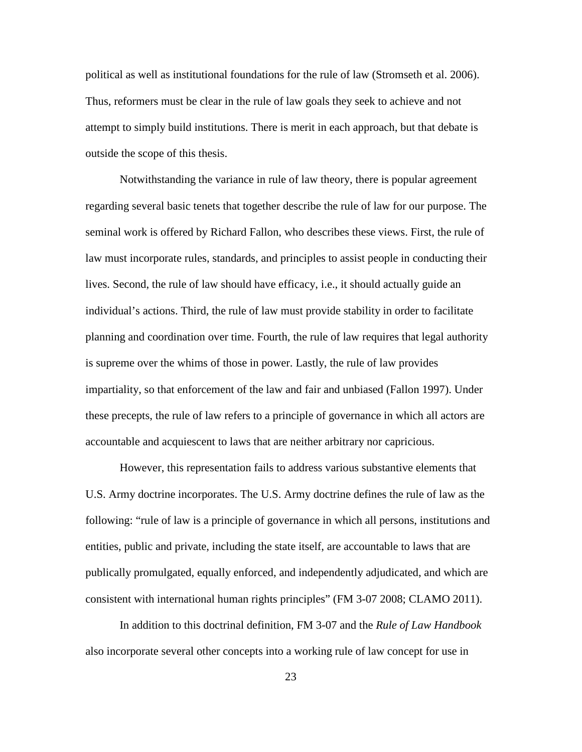political as well as institutional foundations for the rule of law (Stromseth et al. 2006). Thus, reformers must be clear in the rule of law goals they seek to achieve and not attempt to simply build institutions. There is merit in each approach, but that debate is outside the scope of this thesis.

Notwithstanding the variance in rule of law theory, there is popular agreement regarding several basic tenets that together describe the rule of law for our purpose. The seminal work is offered by Richard Fallon, who describes these views. First, the rule of law must incorporate rules, standards, and principles to assist people in conducting their lives. Second, the rule of law should have efficacy, i.e., it should actually guide an individual's actions. Third, the rule of law must provide stability in order to facilitate planning and coordination over time. Fourth, the rule of law requires that legal authority is supreme over the whims of those in power. Lastly, the rule of law provides impartiality, so that enforcement of the law and fair and unbiased (Fallon 1997). Under these precepts, the rule of law refers to a principle of governance in which all actors are accountable and acquiescent to laws that are neither arbitrary nor capricious.

However, this representation fails to address various substantive elements that U.S. Army doctrine incorporates. The U.S. Army doctrine defines the rule of law as the following: "rule of law is a principle of governance in which all persons, institutions and entities, public and private, including the state itself, are accountable to laws that are publically promulgated, equally enforced, and independently adjudicated, and which are consistent with international human rights principles" (FM 3-07 2008; CLAMO 2011).

In addition to this doctrinal definition, FM 3-07 and the *Rule of Law Handbook* also incorporate several other concepts into a working rule of law concept for use in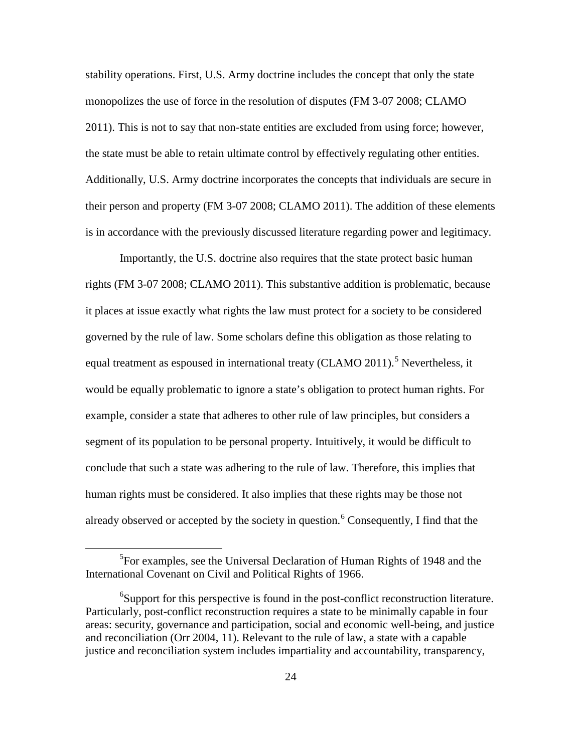stability operations. First, U.S. Army doctrine includes the concept that only the state monopolizes the use of force in the resolution of disputes (FM 3-07 2008; CLAMO 2011). This is not to say that non-state entities are excluded from using force; however, the state must be able to retain ultimate control by effectively regulating other entities. Additionally, U.S. Army doctrine incorporates the concepts that individuals are secure in their person and property (FM 3-07 2008; CLAMO 2011). The addition of these elements is in accordance with the previously discussed literature regarding power and legitimacy.

Importantly, the U.S. doctrine also requires that the state protect basic human rights (FM 3-07 2008; CLAMO 2011). This substantive addition is problematic, because it places at issue exactly what rights the law must protect for a society to be considered governed by the rule of law. Some scholars define this obligation as those relating to equal treatment as espoused in international treaty (CLAMO 2011).<sup>[5](#page-30-0)</sup> Nevertheless, it would be equally problematic to ignore a state's obligation to protect human rights. For example, consider a state that adheres to other rule of law principles, but considers a segment of its population to be personal property. Intuitively, it would be difficult to conclude that such a state was adhering to the rule of law. Therefore, this implies that human rights must be considered. It also implies that these rights may be those not already observed or accepted by the society in question.<sup>[6](#page-30-1)</sup> Consequently, I find that the

<span id="page-30-0"></span> $rac{1}{5}$ <sup>5</sup>For examples, see the Universal Declaration of Human Rights of 1948 and the International Covenant on Civil and Political Rights of 1966.

<span id="page-30-1"></span><sup>&</sup>lt;sup>6</sup>Support for this perspective is found in the post-conflict reconstruction literature. Particularly, post-conflict reconstruction requires a state to be minimally capable in four areas: security, governance and participation, social and economic well-being, and justice and reconciliation (Orr 2004, 11). Relevant to the rule of law, a state with a capable justice and reconciliation system includes impartiality and accountability, transparency,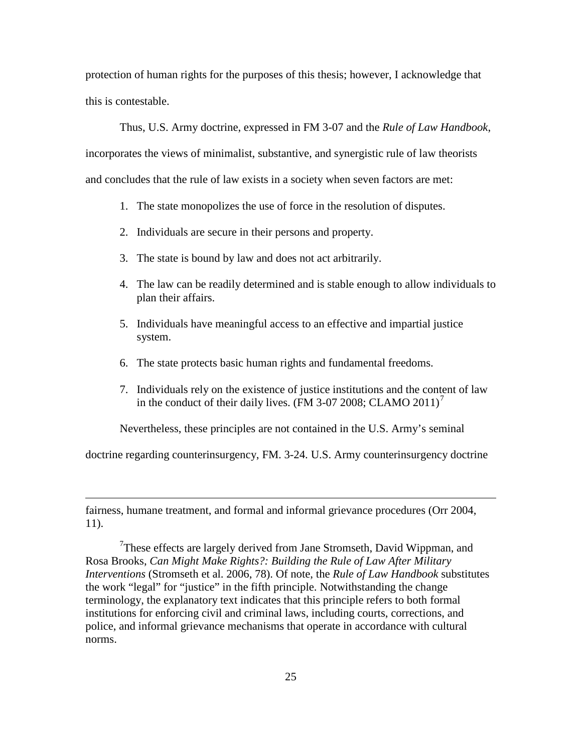protection of human rights for the purposes of this thesis; however, I acknowledge that this is contestable.

Thus, U.S. Army doctrine, expressed in FM 3-07 and the *Rule of Law Handbook*,

incorporates the views of minimalist, substantive, and synergistic rule of law theorists and concludes that the rule of law exists in a society when seven factors are met:

- 1. The state monopolizes the use of force in the resolution of disputes.
- 2. Individuals are secure in their persons and property.
- 3. The state is bound by law and does not act arbitrarily.
- 4. The law can be readily determined and is stable enough to allow individuals to plan their affairs.
- 5. Individuals have meaningful access to an effective and impartial justice system.
- 6. The state protects basic human rights and fundamental freedoms.
- 7. Individuals rely on the existence of justice institutions and the content of law in the conduct of their daily lives. (FM 3-0[7](#page-31-0) 2008; CLAMO 2011)<sup>7</sup>

Nevertheless, these principles are not contained in the U.S. Army's seminal

doctrine regarding counterinsurgency, FM. 3-24. U.S. Army counterinsurgency doctrine

fairness, humane treatment, and formal and informal grievance procedures (Orr 2004, 11).

 $\overline{a}$ 

<span id="page-31-0"></span><sup>7</sup>These effects are largely derived from Jane Stromseth, David Wippman, and Rosa Brooks, *Can Might Make Rights?: Building the Rule of Law After Military Interventions* (Stromseth et al. 2006, 78). Of note, the *Rule of Law Handbook* substitutes the work "legal" for "justice" in the fifth principle. Notwithstanding the change terminology, the explanatory text indicates that this principle refers to both formal institutions for enforcing civil and criminal laws, including courts, corrections, and police, and informal grievance mechanisms that operate in accordance with cultural norms.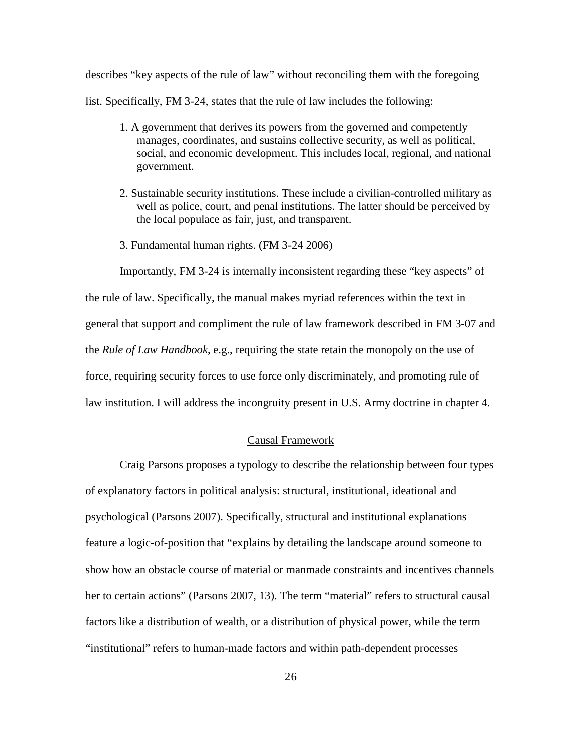describes "key aspects of the rule of law" without reconciling them with the foregoing list. Specifically, FM 3-24, states that the rule of law includes the following:

- 1. A government that derives its powers from the governed and competently manages, coordinates, and sustains collective security, as well as political, social, and economic development. This includes local, regional, and national government.
- 2. Sustainable security institutions. These include a civilian-controlled military as well as police, court, and penal institutions. The latter should be perceived by the local populace as fair, just, and transparent.
- 3. Fundamental human rights. (FM 3-24 2006)

Importantly, FM 3-24 is internally inconsistent regarding these "key aspects" of the rule of law. Specifically, the manual makes myriad references within the text in general that support and compliment the rule of law framework described in FM 3-07 and the *Rule of Law Handbook*, e.g., requiring the state retain the monopoly on the use of force, requiring security forces to use force only discriminately, and promoting rule of law institution. I will address the incongruity present in U.S. Army doctrine in chapter 4.

#### Causal Framework

Craig Parsons proposes a typology to describe the relationship between four types of explanatory factors in political analysis: structural, institutional, ideational and psychological (Parsons 2007). Specifically, structural and institutional explanations feature a logic-of-position that "explains by detailing the landscape around someone to show how an obstacle course of material or manmade constraints and incentives channels her to certain actions" (Parsons 2007, 13). The term "material" refers to structural causal factors like a distribution of wealth, or a distribution of physical power, while the term "institutional" refers to human-made factors and within path-dependent processes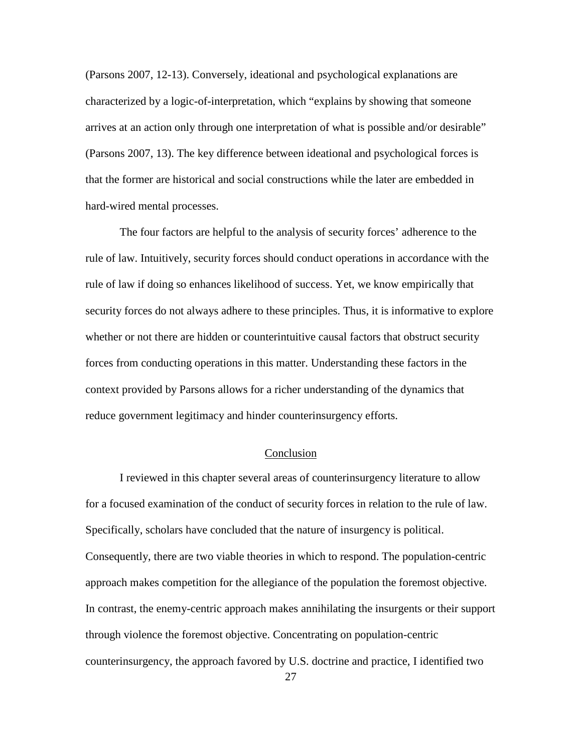(Parsons 2007, 12-13). Conversely, ideational and psychological explanations are characterized by a logic-of-interpretation, which "explains by showing that someone arrives at an action only through one interpretation of what is possible and/or desirable" (Parsons 2007, 13). The key difference between ideational and psychological forces is that the former are historical and social constructions while the later are embedded in hard-wired mental processes.

The four factors are helpful to the analysis of security forces' adherence to the rule of law. Intuitively, security forces should conduct operations in accordance with the rule of law if doing so enhances likelihood of success. Yet, we know empirically that security forces do not always adhere to these principles. Thus, it is informative to explore whether or not there are hidden or counterintuitive causal factors that obstruct security forces from conducting operations in this matter. Understanding these factors in the context provided by Parsons allows for a richer understanding of the dynamics that reduce government legitimacy and hinder counterinsurgency efforts.

#### Conclusion

I reviewed in this chapter several areas of counterinsurgency literature to allow for a focused examination of the conduct of security forces in relation to the rule of law. Specifically, scholars have concluded that the nature of insurgency is political. Consequently, there are two viable theories in which to respond. The population-centric approach makes competition for the allegiance of the population the foremost objective. In contrast, the enemy-centric approach makes annihilating the insurgents or their support through violence the foremost objective. Concentrating on population-centric counterinsurgency, the approach favored by U.S. doctrine and practice, I identified two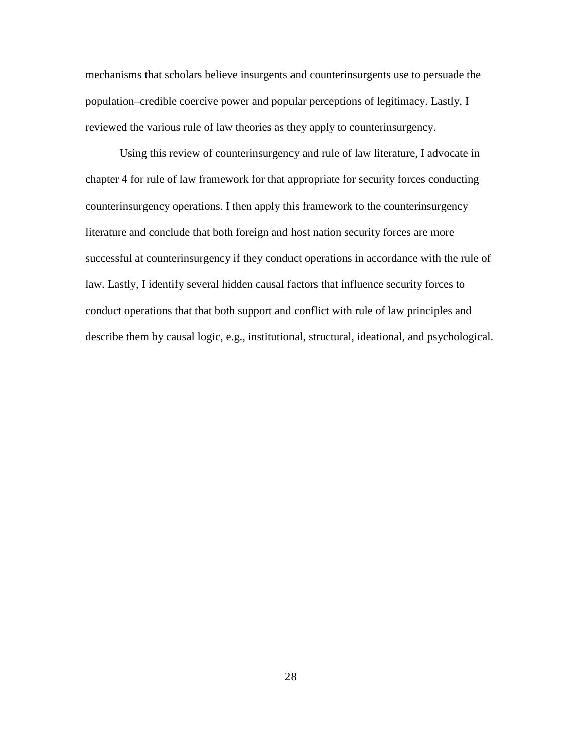mechanisms that scholars believe insurgents and counterinsurgents use to persuade the population–credible coercive power and popular perceptions of legitimacy. Lastly, I reviewed the various rule of law theories as they apply to counterinsurgency.

Using this review of counterinsurgency and rule of law literature, I advocate in chapter 4 for rule of law framework for that appropriate for security forces conducting counterinsurgency operations. I then apply this framework to the counterinsurgency literature and conclude that both foreign and host nation security forces are more successful at counterinsurgency if they conduct operations in accordance with the rule of law. Lastly, I identify several hidden causal factors that influence security forces to conduct operations that that both support and conflict with rule of law principles and describe them by causal logic, e.g., institutional, structural, ideational, and psychological.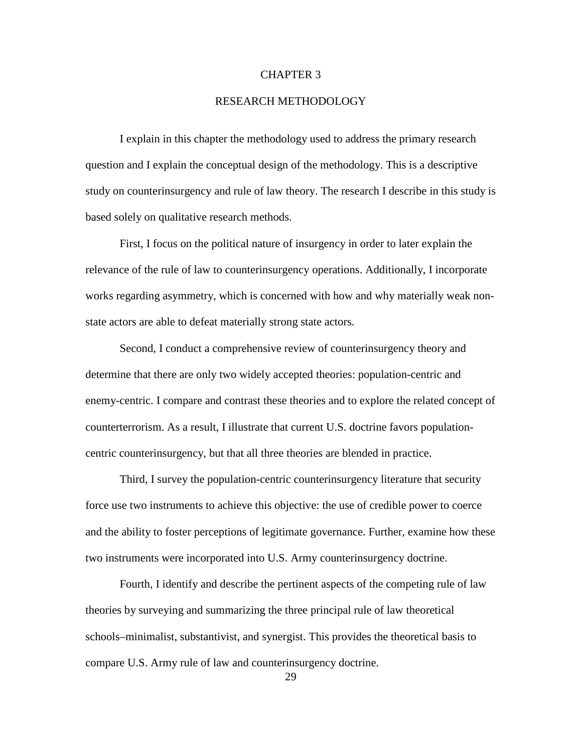#### CHAPTER 3

#### RESEARCH METHODOLOGY

I explain in this chapter the methodology used to address the primary research question and I explain the conceptual design of the methodology. This is a descriptive study on counterinsurgency and rule of law theory. The research I describe in this study is based solely on qualitative research methods.

First, I focus on the political nature of insurgency in order to later explain the relevance of the rule of law to counterinsurgency operations. Additionally, I incorporate works regarding asymmetry, which is concerned with how and why materially weak nonstate actors are able to defeat materially strong state actors.

Second, I conduct a comprehensive review of counterinsurgency theory and determine that there are only two widely accepted theories: population-centric and enemy-centric. I compare and contrast these theories and to explore the related concept of counterterrorism. As a result, I illustrate that current U.S. doctrine favors populationcentric counterinsurgency, but that all three theories are blended in practice.

Third, I survey the population-centric counterinsurgency literature that security force use two instruments to achieve this objective: the use of credible power to coerce and the ability to foster perceptions of legitimate governance. Further, examine how these two instruments were incorporated into U.S. Army counterinsurgency doctrine.

Fourth, I identify and describe the pertinent aspects of the competing rule of law theories by surveying and summarizing the three principal rule of law theoretical schools–minimalist, substantivist, and synergist. This provides the theoretical basis to compare U.S. Army rule of law and counterinsurgency doctrine.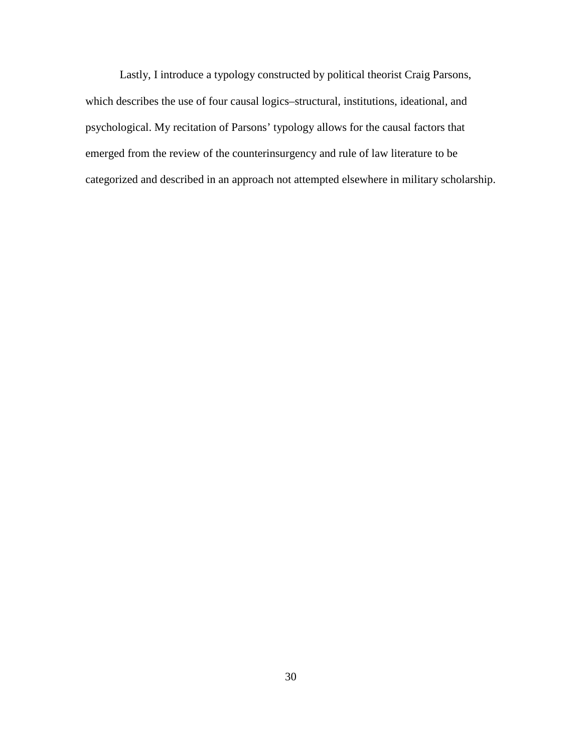Lastly, I introduce a typology constructed by political theorist Craig Parsons, which describes the use of four causal logics–structural, institutions, ideational, and psychological. My recitation of Parsons' typology allows for the causal factors that emerged from the review of the counterinsurgency and rule of law literature to be categorized and described in an approach not attempted elsewhere in military scholarship.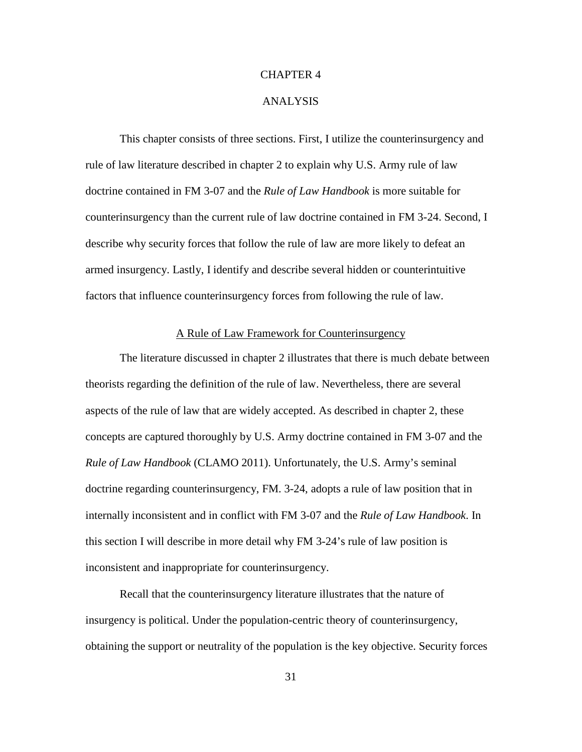# CHAPTER 4

## ANALYSIS

This chapter consists of three sections. First, I utilize the counterinsurgency and rule of law literature described in chapter 2 to explain why U.S. Army rule of law doctrine contained in FM 3-07 and the *Rule of Law Handbook* is more suitable for counterinsurgency than the current rule of law doctrine contained in FM 3-24. Second, I describe why security forces that follow the rule of law are more likely to defeat an armed insurgency. Lastly, I identify and describe several hidden or counterintuitive factors that influence counterinsurgency forces from following the rule of law.

# A Rule of Law Framework for Counterinsurgency

The literature discussed in chapter 2 illustrates that there is much debate between theorists regarding the definition of the rule of law. Nevertheless, there are several aspects of the rule of law that are widely accepted. As described in chapter 2, these concepts are captured thoroughly by U.S. Army doctrine contained in FM 3-07 and the *Rule of Law Handbook* (CLAMO 2011). Unfortunately, the U.S. Army's seminal doctrine regarding counterinsurgency, FM. 3-24, adopts a rule of law position that in internally inconsistent and in conflict with FM 3-07 and the *Rule of Law Handbook*. In this section I will describe in more detail why FM 3-24's rule of law position is inconsistent and inappropriate for counterinsurgency.

Recall that the counterinsurgency literature illustrates that the nature of insurgency is political. Under the population-centric theory of counterinsurgency, obtaining the support or neutrality of the population is the key objective. Security forces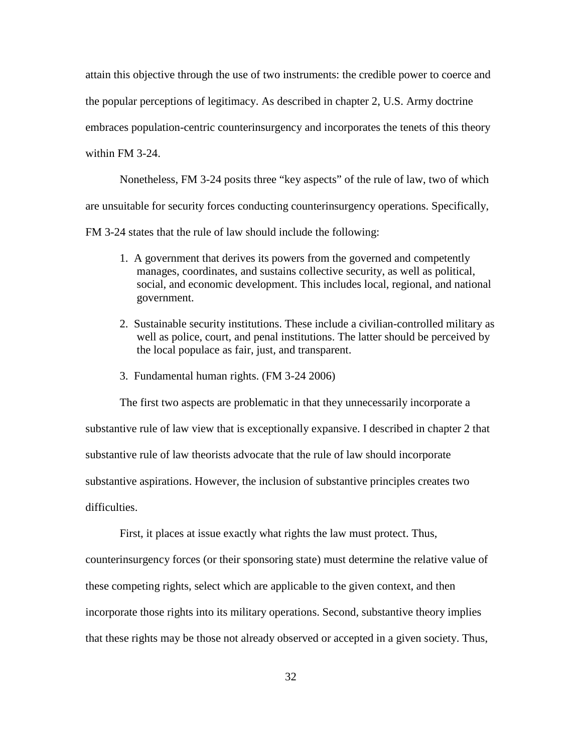attain this objective through the use of two instruments: the credible power to coerce and the popular perceptions of legitimacy. As described in chapter 2, U.S. Army doctrine embraces population-centric counterinsurgency and incorporates the tenets of this theory within FM 3-24.

Nonetheless, FM 3-24 posits three "key aspects" of the rule of law, two of which are unsuitable for security forces conducting counterinsurgency operations. Specifically, FM 3-24 states that the rule of law should include the following:

- 1. A government that derives its powers from the governed and competently manages, coordinates, and sustains collective security, as well as political, social, and economic development. This includes local, regional, and national government.
- 2. Sustainable security institutions. These include a civilian-controlled military as well as police, court, and penal institutions. The latter should be perceived by the local populace as fair, just, and transparent.
- 3. Fundamental human rights. (FM 3-24 2006)

The first two aspects are problematic in that they unnecessarily incorporate a substantive rule of law view that is exceptionally expansive. I described in chapter 2 that substantive rule of law theorists advocate that the rule of law should incorporate substantive aspirations. However, the inclusion of substantive principles creates two difficulties.

First, it places at issue exactly what rights the law must protect. Thus, counterinsurgency forces (or their sponsoring state) must determine the relative value of these competing rights, select which are applicable to the given context, and then incorporate those rights into its military operations. Second, substantive theory implies that these rights may be those not already observed or accepted in a given society. Thus,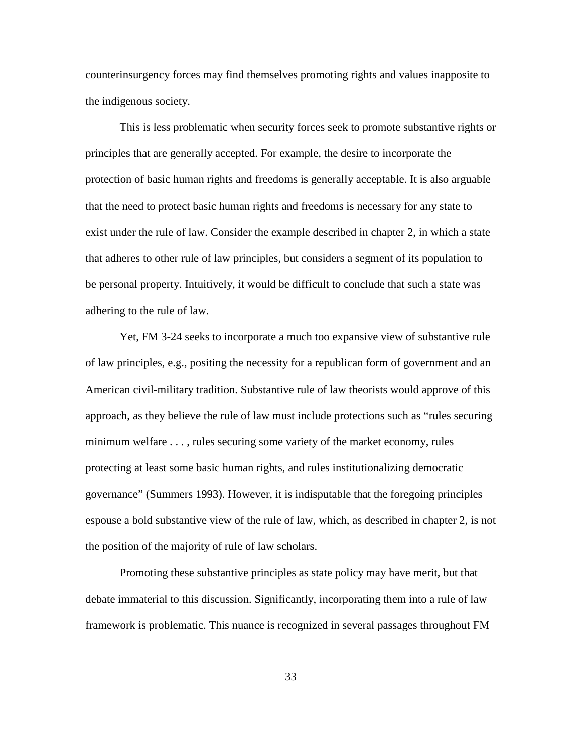counterinsurgency forces may find themselves promoting rights and values inapposite to the indigenous society.

This is less problematic when security forces seek to promote substantive rights or principles that are generally accepted. For example, the desire to incorporate the protection of basic human rights and freedoms is generally acceptable. It is also arguable that the need to protect basic human rights and freedoms is necessary for any state to exist under the rule of law. Consider the example described in chapter 2, in which a state that adheres to other rule of law principles, but considers a segment of its population to be personal property. Intuitively, it would be difficult to conclude that such a state was adhering to the rule of law.

Yet, FM 3-24 seeks to incorporate a much too expansive view of substantive rule of law principles, e.g., positing the necessity for a republican form of government and an American civil-military tradition. Substantive rule of law theorists would approve of this approach, as they believe the rule of law must include protections such as "rules securing minimum welfare . . . , rules securing some variety of the market economy, rules protecting at least some basic human rights, and rules institutionalizing democratic governance" (Summers 1993). However, it is indisputable that the foregoing principles espouse a bold substantive view of the rule of law, which, as described in chapter 2, is not the position of the majority of rule of law scholars.

Promoting these substantive principles as state policy may have merit, but that debate immaterial to this discussion. Significantly, incorporating them into a rule of law framework is problematic. This nuance is recognized in several passages throughout FM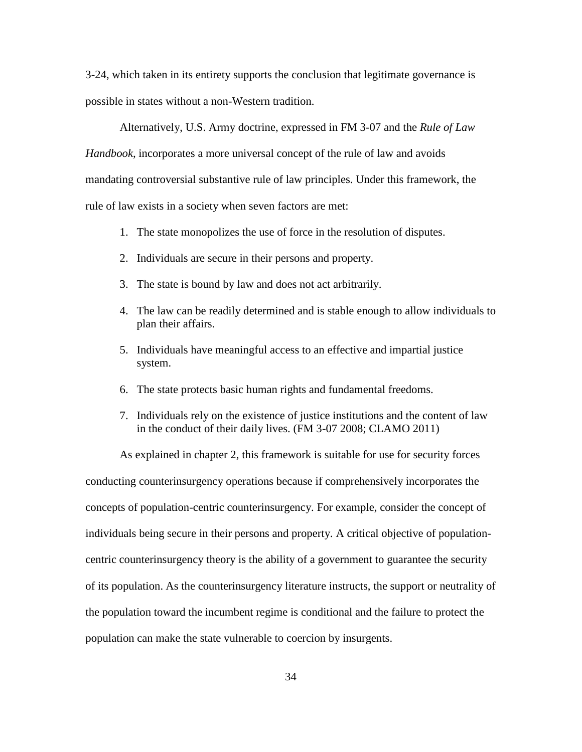3-24, which taken in its entirety supports the conclusion that legitimate governance is possible in states without a non-Western tradition.

Alternatively, U.S. Army doctrine, expressed in FM 3-07 and the *Rule of Law Handbook*, incorporates a more universal concept of the rule of law and avoids mandating controversial substantive rule of law principles. Under this framework, the rule of law exists in a society when seven factors are met:

- 1. The state monopolizes the use of force in the resolution of disputes.
- 2. Individuals are secure in their persons and property.
- 3. The state is bound by law and does not act arbitrarily.
- 4. The law can be readily determined and is stable enough to allow individuals to plan their affairs.
- 5. Individuals have meaningful access to an effective and impartial justice system.
- 6. The state protects basic human rights and fundamental freedoms.
- 7. Individuals rely on the existence of justice institutions and the content of law in the conduct of their daily lives. (FM 3-07 2008; CLAMO 2011)

As explained in chapter 2, this framework is suitable for use for security forces conducting counterinsurgency operations because if comprehensively incorporates the concepts of population-centric counterinsurgency. For example, consider the concept of individuals being secure in their persons and property. A critical objective of populationcentric counterinsurgency theory is the ability of a government to guarantee the security of its population. As the counterinsurgency literature instructs, the support or neutrality of the population toward the incumbent regime is conditional and the failure to protect the population can make the state vulnerable to coercion by insurgents.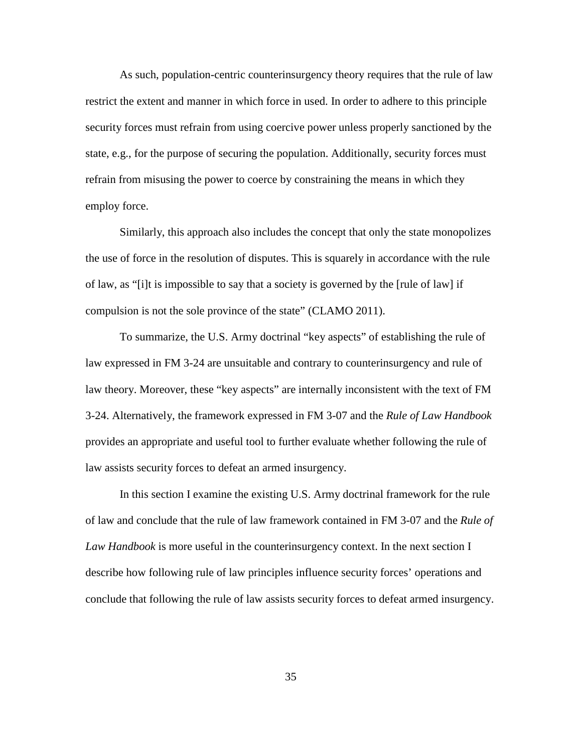As such, population-centric counterinsurgency theory requires that the rule of law restrict the extent and manner in which force in used. In order to adhere to this principle security forces must refrain from using coercive power unless properly sanctioned by the state, e.g., for the purpose of securing the population. Additionally, security forces must refrain from misusing the power to coerce by constraining the means in which they employ force.

Similarly, this approach also includes the concept that only the state monopolizes the use of force in the resolution of disputes. This is squarely in accordance with the rule of law, as "[i]t is impossible to say that a society is governed by the [rule of law] if compulsion is not the sole province of the state" (CLAMO 2011).

To summarize, the U.S. Army doctrinal "key aspects" of establishing the rule of law expressed in FM 3-24 are unsuitable and contrary to counterinsurgency and rule of law theory. Moreover, these "key aspects" are internally inconsistent with the text of FM 3-24. Alternatively, the framework expressed in FM 3-07 and the *Rule of Law Handbook* provides an appropriate and useful tool to further evaluate whether following the rule of law assists security forces to defeat an armed insurgency.

In this section I examine the existing U.S. Army doctrinal framework for the rule of law and conclude that the rule of law framework contained in FM 3-07 and the *Rule of Law Handbook* is more useful in the counterinsurgency context. In the next section I describe how following rule of law principles influence security forces' operations and conclude that following the rule of law assists security forces to defeat armed insurgency.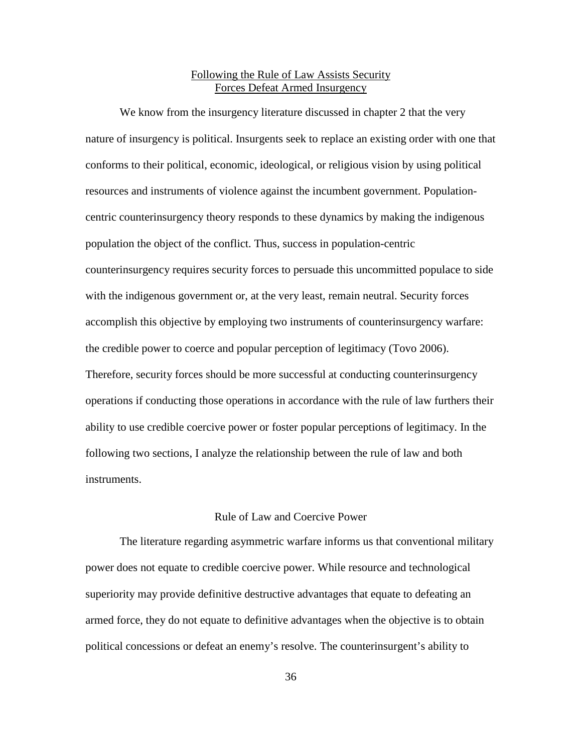# Following the Rule of Law Assists Security Forces Defeat Armed Insurgency

We know from the insurgency literature discussed in chapter 2 that the very nature of insurgency is political. Insurgents seek to replace an existing order with one that conforms to their political, economic, ideological, or religious vision by using political resources and instruments of violence against the incumbent government. Populationcentric counterinsurgency theory responds to these dynamics by making the indigenous population the object of the conflict. Thus, success in population-centric counterinsurgency requires security forces to persuade this uncommitted populace to side with the indigenous government or, at the very least, remain neutral. Security forces accomplish this objective by employing two instruments of counterinsurgency warfare: the credible power to coerce and popular perception of legitimacy (Tovo 2006). Therefore, security forces should be more successful at conducting counterinsurgency operations if conducting those operations in accordance with the rule of law furthers their ability to use credible coercive power or foster popular perceptions of legitimacy. In the following two sections, I analyze the relationship between the rule of law and both instruments.

# Rule of Law and Coercive Power

The literature regarding asymmetric warfare informs us that conventional military power does not equate to credible coercive power. While resource and technological superiority may provide definitive destructive advantages that equate to defeating an armed force, they do not equate to definitive advantages when the objective is to obtain political concessions or defeat an enemy's resolve. The counterinsurgent's ability to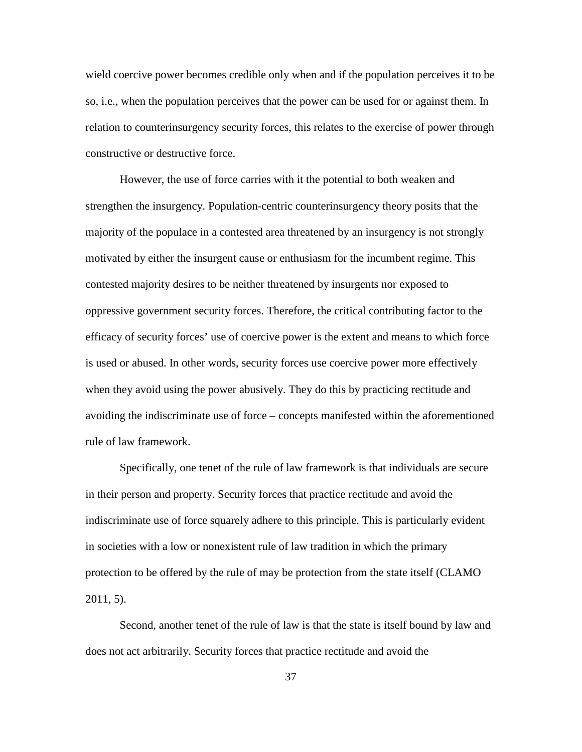wield coercive power becomes credible only when and if the population perceives it to be so, i.e., when the population perceives that the power can be used for or against them. In relation to counterinsurgency security forces, this relates to the exercise of power through constructive or destructive force.

However, the use of force carries with it the potential to both weaken and strengthen the insurgency. Population-centric counterinsurgency theory posits that the majority of the populace in a contested area threatened by an insurgency is not strongly motivated by either the insurgent cause or enthusiasm for the incumbent regime. This contested majority desires to be neither threatened by insurgents nor exposed to oppressive government security forces. Therefore, the critical contributing factor to the efficacy of security forces' use of coercive power is the extent and means to which force is used or abused. In other words, security forces use coercive power more effectively when they avoid using the power abusively. They do this by practicing rectitude and avoiding the indiscriminate use of force – concepts manifested within the aforementioned rule of law framework.

Specifically, one tenet of the rule of law framework is that individuals are secure in their person and property. Security forces that practice rectitude and avoid the indiscriminate use of force squarely adhere to this principle. This is particularly evident in societies with a low or nonexistent rule of law tradition in which the primary protection to be offered by the rule of may be protection from the state itself (CLAMO 2011, 5).

Second, another tenet of the rule of law is that the state is itself bound by law and does not act arbitrarily. Security forces that practice rectitude and avoid the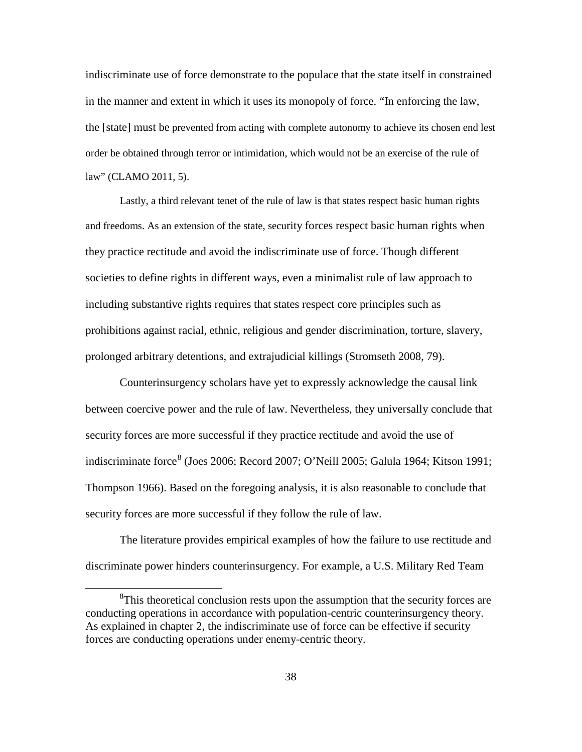indiscriminate use of force demonstrate to the populace that the state itself in constrained in the manner and extent in which it uses its monopoly of force. "In enforcing the law, the [state] must be prevented from acting with complete autonomy to achieve its chosen end lest order be obtained through terror or intimidation, which would not be an exercise of the rule of law" (CLAMO 2011, 5).

Lastly, a third relevant tenet of the rule of law is that states respect basic human rights and freedoms. As an extension of the state, security forces respect basic human rights when they practice rectitude and avoid the indiscriminate use of force. Though different societies to define rights in different ways, even a minimalist rule of law approach to including substantive rights requires that states respect core principles such as prohibitions against racial, ethnic, religious and gender discrimination, torture, slavery, prolonged arbitrary detentions, and extrajudicial killings (Stromseth 2008, 79).

Counterinsurgency scholars have yet to expressly acknowledge the causal link between coercive power and the rule of law. Nevertheless, they universally conclude that security forces are more successful if they practice rectitude and avoid the use of indiscriminate force<sup>[8](#page-44-0)</sup> (Joes 2006; Record 2007; O'Neill 2005; Galula 1964; Kitson 1991; Thompson 1966). Based on the foregoing analysis, it is also reasonable to conclude that security forces are more successful if they follow the rule of law.

The literature provides empirical examples of how the failure to use rectitude and discriminate power hinders counterinsurgency. For example, a U.S. Military Red Team

<span id="page-44-0"></span> $\frac{1}{8}$ <sup>8</sup>This theoretical conclusion rests upon the assumption that the security forces are conducting operations in accordance with population-centric counterinsurgency theory. As explained in chapter 2, the indiscriminate use of force can be effective if security forces are conducting operations under enemy-centric theory.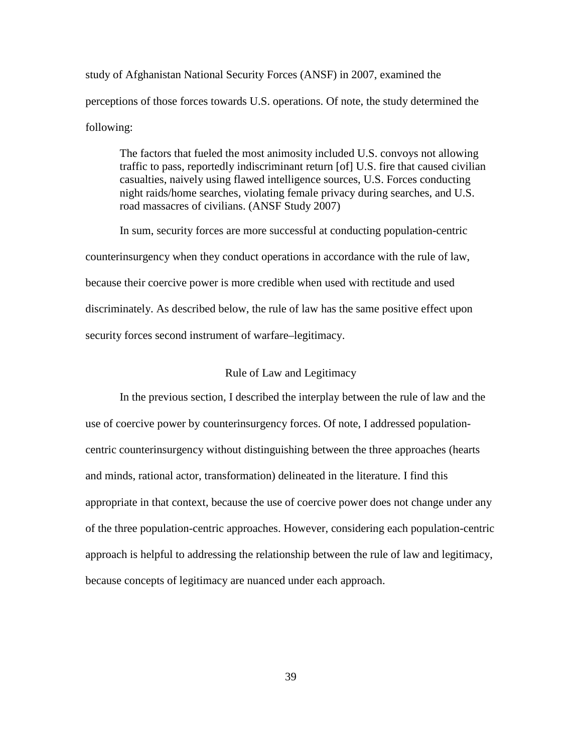study of Afghanistan National Security Forces (ANSF) in 2007, examined the perceptions of those forces towards U.S. operations. Of note, the study determined the following:

The factors that fueled the most animosity included U.S. convoys not allowing traffic to pass, reportedly indiscriminant return [of] U.S. fire that caused civilian casualties, naively using flawed intelligence sources, U.S. Forces conducting night raids/home searches, violating female privacy during searches, and U.S. road massacres of civilians. (ANSF Study 2007)

In sum, security forces are more successful at conducting population-centric counterinsurgency when they conduct operations in accordance with the rule of law, because their coercive power is more credible when used with rectitude and used discriminately. As described below, the rule of law has the same positive effect upon security forces second instrument of warfare–legitimacy.

# Rule of Law and Legitimacy

In the previous section, I described the interplay between the rule of law and the use of coercive power by counterinsurgency forces. Of note, I addressed populationcentric counterinsurgency without distinguishing between the three approaches (hearts and minds, rational actor, transformation) delineated in the literature. I find this appropriate in that context, because the use of coercive power does not change under any of the three population-centric approaches. However, considering each population-centric approach is helpful to addressing the relationship between the rule of law and legitimacy, because concepts of legitimacy are nuanced under each approach.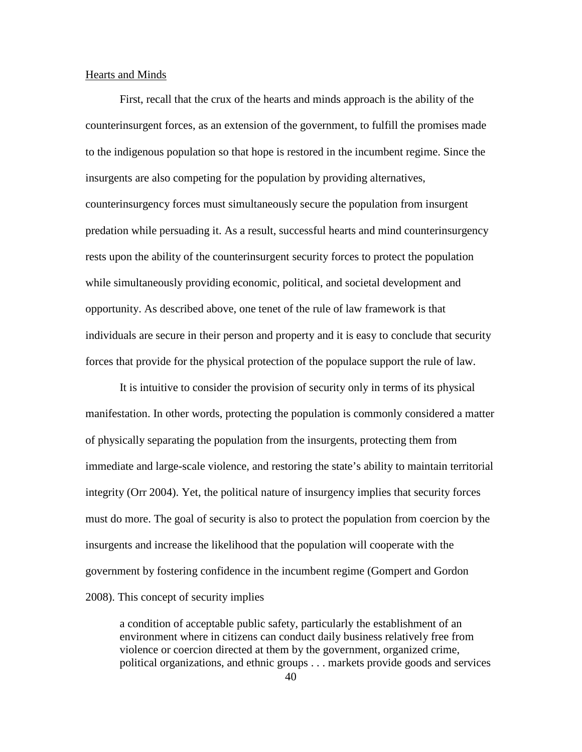## Hearts and Minds

First, recall that the crux of the hearts and minds approach is the ability of the counterinsurgent forces, as an extension of the government, to fulfill the promises made to the indigenous population so that hope is restored in the incumbent regime. Since the insurgents are also competing for the population by providing alternatives, counterinsurgency forces must simultaneously secure the population from insurgent predation while persuading it. As a result, successful hearts and mind counterinsurgency rests upon the ability of the counterinsurgent security forces to protect the population while simultaneously providing economic, political, and societal development and opportunity. As described above, one tenet of the rule of law framework is that individuals are secure in their person and property and it is easy to conclude that security forces that provide for the physical protection of the populace support the rule of law.

It is intuitive to consider the provision of security only in terms of its physical manifestation. In other words, protecting the population is commonly considered a matter of physically separating the population from the insurgents, protecting them from immediate and large-scale violence, and restoring the state's ability to maintain territorial integrity (Orr 2004). Yet, the political nature of insurgency implies that security forces must do more. The goal of security is also to protect the population from coercion by the insurgents and increase the likelihood that the population will cooperate with the government by fostering confidence in the incumbent regime (Gompert and Gordon 2008). This concept of security implies

a condition of acceptable public safety, particularly the establishment of an environment where in citizens can conduct daily business relatively free from violence or coercion directed at them by the government, organized crime, political organizations, and ethnic groups . . . markets provide goods and services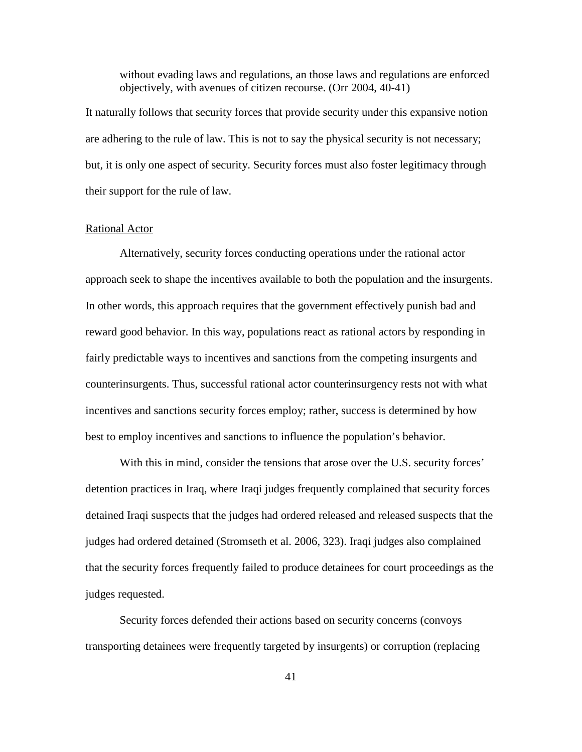without evading laws and regulations, an those laws and regulations are enforced objectively, with avenues of citizen recourse. (Orr 2004, 40-41)

It naturally follows that security forces that provide security under this expansive notion are adhering to the rule of law. This is not to say the physical security is not necessary; but, it is only one aspect of security. Security forces must also foster legitimacy through their support for the rule of law.

#### Rational Actor

Alternatively, security forces conducting operations under the rational actor approach seek to shape the incentives available to both the population and the insurgents. In other words, this approach requires that the government effectively punish bad and reward good behavior. In this way, populations react as rational actors by responding in fairly predictable ways to incentives and sanctions from the competing insurgents and counterinsurgents. Thus, successful rational actor counterinsurgency rests not with what incentives and sanctions security forces employ; rather, success is determined by how best to employ incentives and sanctions to influence the population's behavior.

With this in mind, consider the tensions that arose over the U.S. security forces' detention practices in Iraq, where Iraqi judges frequently complained that security forces detained Iraqi suspects that the judges had ordered released and released suspects that the judges had ordered detained (Stromseth et al. 2006, 323). Iraqi judges also complained that the security forces frequently failed to produce detainees for court proceedings as the judges requested.

Security forces defended their actions based on security concerns (convoys transporting detainees were frequently targeted by insurgents) or corruption (replacing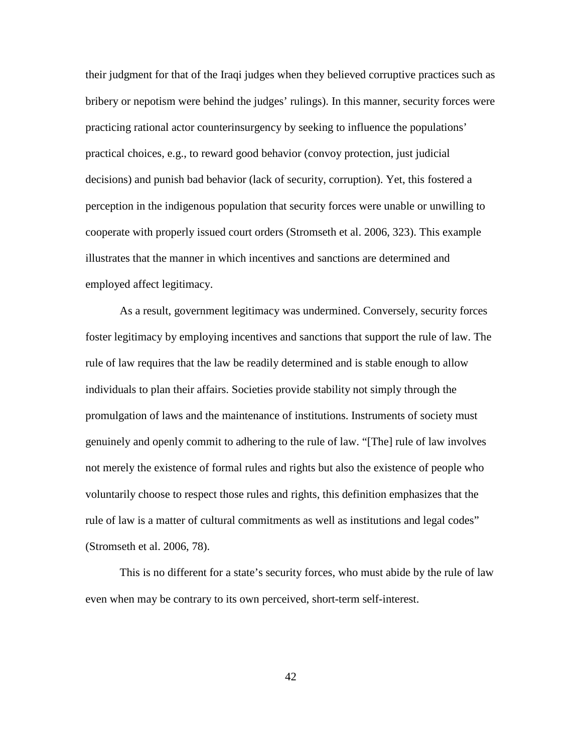their judgment for that of the Iraqi judges when they believed corruptive practices such as bribery or nepotism were behind the judges' rulings). In this manner, security forces were practicing rational actor counterinsurgency by seeking to influence the populations' practical choices, e.g., to reward good behavior (convoy protection, just judicial decisions) and punish bad behavior (lack of security, corruption). Yet, this fostered a perception in the indigenous population that security forces were unable or unwilling to cooperate with properly issued court orders (Stromseth et al. 2006, 323). This example illustrates that the manner in which incentives and sanctions are determined and employed affect legitimacy.

As a result, government legitimacy was undermined. Conversely, security forces foster legitimacy by employing incentives and sanctions that support the rule of law. The rule of law requires that the law be readily determined and is stable enough to allow individuals to plan their affairs. Societies provide stability not simply through the promulgation of laws and the maintenance of institutions. Instruments of society must genuinely and openly commit to adhering to the rule of law. "[The] rule of law involves not merely the existence of formal rules and rights but also the existence of people who voluntarily choose to respect those rules and rights, this definition emphasizes that the rule of law is a matter of cultural commitments as well as institutions and legal codes" (Stromseth et al. 2006, 78).

This is no different for a state's security forces, who must abide by the rule of law even when may be contrary to its own perceived, short-term self-interest.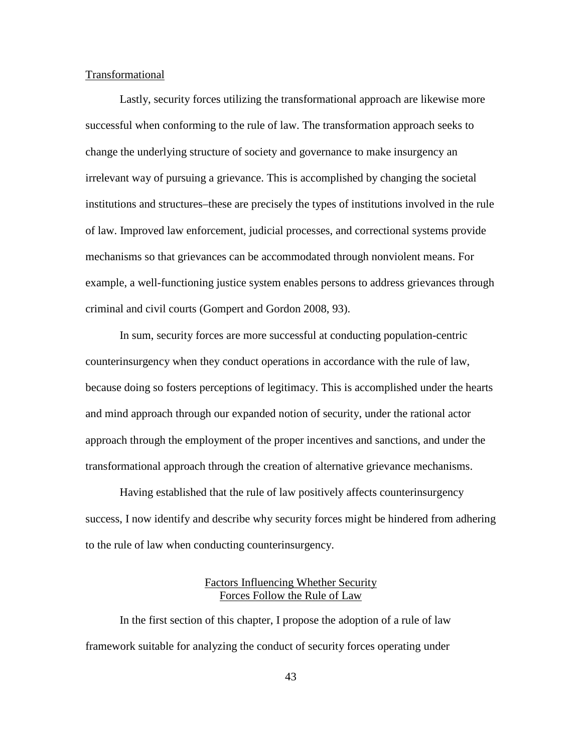#### Transformational

Lastly, security forces utilizing the transformational approach are likewise more successful when conforming to the rule of law. The transformation approach seeks to change the underlying structure of society and governance to make insurgency an irrelevant way of pursuing a grievance. This is accomplished by changing the societal institutions and structures–these are precisely the types of institutions involved in the rule of law. Improved law enforcement, judicial processes, and correctional systems provide mechanisms so that grievances can be accommodated through nonviolent means. For example, a well-functioning justice system enables persons to address grievances through criminal and civil courts (Gompert and Gordon 2008, 93).

In sum, security forces are more successful at conducting population-centric counterinsurgency when they conduct operations in accordance with the rule of law, because doing so fosters perceptions of legitimacy. This is accomplished under the hearts and mind approach through our expanded notion of security, under the rational actor approach through the employment of the proper incentives and sanctions, and under the transformational approach through the creation of alternative grievance mechanisms.

Having established that the rule of law positively affects counterinsurgency success, I now identify and describe why security forces might be hindered from adhering to the rule of law when conducting counterinsurgency.

# Factors Influencing Whether Security Forces Follow the Rule of Law

In the first section of this chapter, I propose the adoption of a rule of law framework suitable for analyzing the conduct of security forces operating under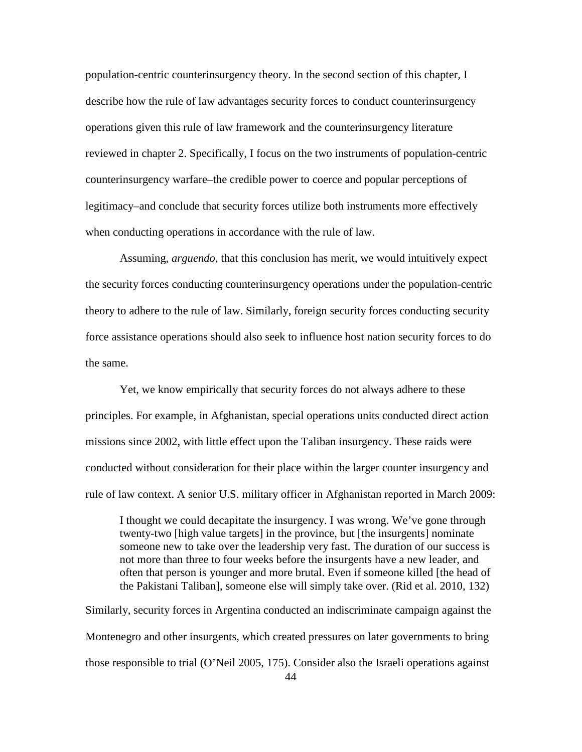population-centric counterinsurgency theory. In the second section of this chapter, I describe how the rule of law advantages security forces to conduct counterinsurgency operations given this rule of law framework and the counterinsurgency literature reviewed in chapter 2. Specifically, I focus on the two instruments of population-centric counterinsurgency warfare–the credible power to coerce and popular perceptions of legitimacy–and conclude that security forces utilize both instruments more effectively when conducting operations in accordance with the rule of law.

Assuming, *arguendo*, that this conclusion has merit, we would intuitively expect the security forces conducting counterinsurgency operations under the population-centric theory to adhere to the rule of law. Similarly, foreign security forces conducting security force assistance operations should also seek to influence host nation security forces to do the same.

Yet, we know empirically that security forces do not always adhere to these principles. For example, in Afghanistan, special operations units conducted direct action missions since 2002, with little effect upon the Taliban insurgency. These raids were conducted without consideration for their place within the larger counter insurgency and rule of law context. A senior U.S. military officer in Afghanistan reported in March 2009:

I thought we could decapitate the insurgency. I was wrong. We've gone through twenty-two [high value targets] in the province, but [the insurgents] nominate someone new to take over the leadership very fast. The duration of our success is not more than three to four weeks before the insurgents have a new leader, and often that person is younger and more brutal. Even if someone killed [the head of the Pakistani Taliban], someone else will simply take over. (Rid et al. 2010, 132)

44 Similarly, security forces in Argentina conducted an indiscriminate campaign against the Montenegro and other insurgents, which created pressures on later governments to bring those responsible to trial (O'Neil 2005, 175). Consider also the Israeli operations against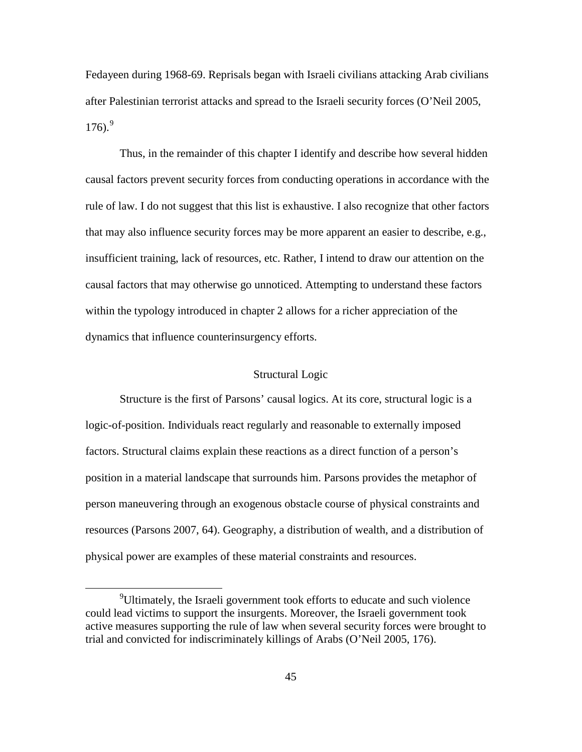Fedayeen during 1968-69. Reprisals began with Israeli civilians attacking Arab civilians after Palestinian terrorist attacks and spread to the Israeli security forces (O'Neil 2005, 176). [9](#page-51-0)

Thus, in the remainder of this chapter I identify and describe how several hidden causal factors prevent security forces from conducting operations in accordance with the rule of law. I do not suggest that this list is exhaustive. I also recognize that other factors that may also influence security forces may be more apparent an easier to describe, e.g., insufficient training, lack of resources, etc. Rather, I intend to draw our attention on the causal factors that may otherwise go unnoticed. Attempting to understand these factors within the typology introduced in chapter 2 allows for a richer appreciation of the dynamics that influence counterinsurgency efforts.

# Structural Logic

Structure is the first of Parsons' causal logics. At its core, structural logic is a logic-of-position. Individuals react regularly and reasonable to externally imposed factors. Structural claims explain these reactions as a direct function of a person's position in a material landscape that surrounds him. Parsons provides the metaphor of person maneuvering through an exogenous obstacle course of physical constraints and resources (Parsons 2007, 64). Geography, a distribution of wealth, and a distribution of physical power are examples of these material constraints and resources.

<span id="page-51-0"></span> $\frac{1}{9}$ <sup>9</sup>Ultimately, the Israeli government took efforts to educate and such violence could lead victims to support the insurgents. Moreover, the Israeli government took active measures supporting the rule of law when several security forces were brought to trial and convicted for indiscriminately killings of Arabs (O'Neil 2005, 176).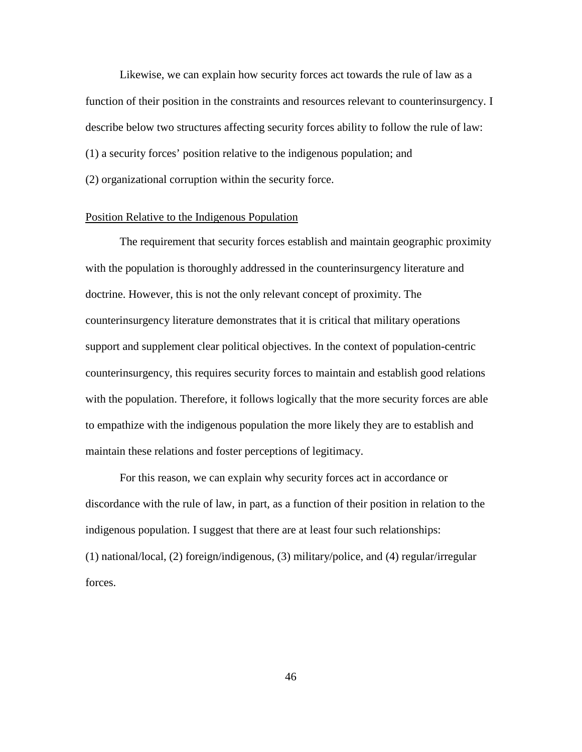Likewise, we can explain how security forces act towards the rule of law as a function of their position in the constraints and resources relevant to counterinsurgency. I describe below two structures affecting security forces ability to follow the rule of law: (1) a security forces' position relative to the indigenous population; and (2) organizational corruption within the security force.

# Position Relative to the Indigenous Population

The requirement that security forces establish and maintain geographic proximity with the population is thoroughly addressed in the counterinsurgency literature and doctrine. However, this is not the only relevant concept of proximity. The counterinsurgency literature demonstrates that it is critical that military operations support and supplement clear political objectives. In the context of population-centric counterinsurgency, this requires security forces to maintain and establish good relations with the population. Therefore, it follows logically that the more security forces are able to empathize with the indigenous population the more likely they are to establish and maintain these relations and foster perceptions of legitimacy.

For this reason, we can explain why security forces act in accordance or discordance with the rule of law, in part, as a function of their position in relation to the indigenous population. I suggest that there are at least four such relationships: (1) national/local, (2) foreign/indigenous, (3) military/police, and (4) regular/irregular forces.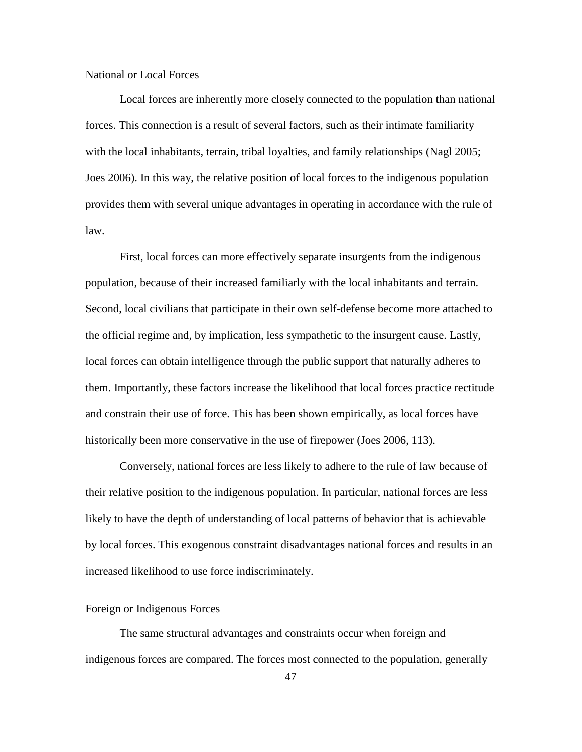# National or Local Forces

Local forces are inherently more closely connected to the population than national forces. This connection is a result of several factors, such as their intimate familiarity with the local inhabitants, terrain, tribal loyalties, and family relationships (Nagl 2005; Joes 2006). In this way, the relative position of local forces to the indigenous population provides them with several unique advantages in operating in accordance with the rule of law.

First, local forces can more effectively separate insurgents from the indigenous population, because of their increased familiarly with the local inhabitants and terrain. Second, local civilians that participate in their own self-defense become more attached to the official regime and, by implication, less sympathetic to the insurgent cause. Lastly, local forces can obtain intelligence through the public support that naturally adheres to them. Importantly, these factors increase the likelihood that local forces practice rectitude and constrain their use of force. This has been shown empirically, as local forces have historically been more conservative in the use of firepower (Joes 2006, 113).

Conversely, national forces are less likely to adhere to the rule of law because of their relative position to the indigenous population. In particular, national forces are less likely to have the depth of understanding of local patterns of behavior that is achievable by local forces. This exogenous constraint disadvantages national forces and results in an increased likelihood to use force indiscriminately.

## Foreign or Indigenous Forces

The same structural advantages and constraints occur when foreign and indigenous forces are compared. The forces most connected to the population, generally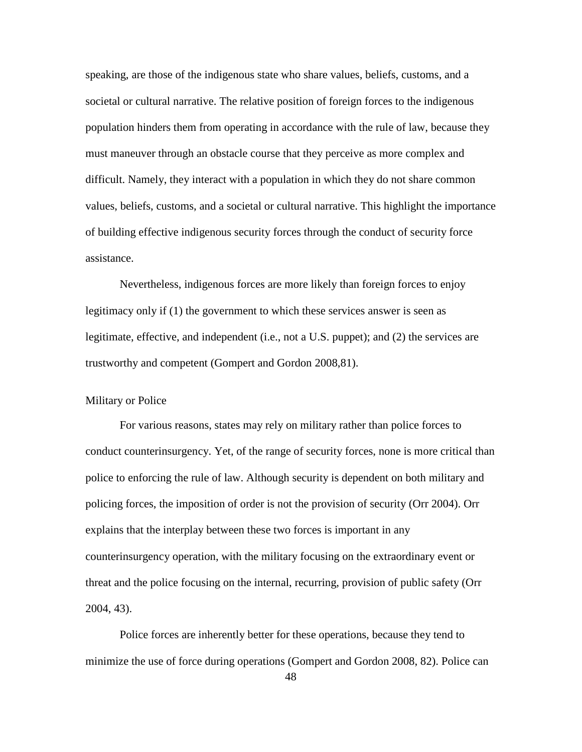speaking, are those of the indigenous state who share values, beliefs, customs, and a societal or cultural narrative. The relative position of foreign forces to the indigenous population hinders them from operating in accordance with the rule of law, because they must maneuver through an obstacle course that they perceive as more complex and difficult. Namely, they interact with a population in which they do not share common values, beliefs, customs, and a societal or cultural narrative. This highlight the importance of building effective indigenous security forces through the conduct of security force assistance.

Nevertheless, indigenous forces are more likely than foreign forces to enjoy legitimacy only if (1) the government to which these services answer is seen as legitimate, effective, and independent (i.e., not a U.S. puppet); and (2) the services are trustworthy and competent (Gompert and Gordon 2008,81).

#### Military or Police

For various reasons, states may rely on military rather than police forces to conduct counterinsurgency. Yet, of the range of security forces, none is more critical than police to enforcing the rule of law. Although security is dependent on both military and policing forces, the imposition of order is not the provision of security (Orr 2004). Orr explains that the interplay between these two forces is important in any counterinsurgency operation, with the military focusing on the extraordinary event or threat and the police focusing on the internal, recurring, provision of public safety (Orr 2004, 43).

Police forces are inherently better for these operations, because they tend to minimize the use of force during operations (Gompert and Gordon 2008, 82). Police can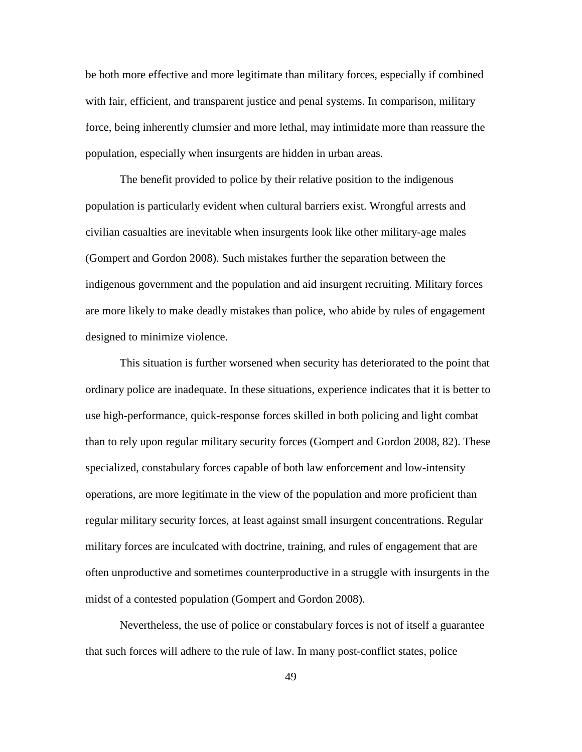be both more effective and more legitimate than military forces, especially if combined with fair, efficient, and transparent justice and penal systems. In comparison, military force, being inherently clumsier and more lethal, may intimidate more than reassure the population, especially when insurgents are hidden in urban areas.

The benefit provided to police by their relative position to the indigenous population is particularly evident when cultural barriers exist. Wrongful arrests and civilian casualties are inevitable when insurgents look like other military-age males (Gompert and Gordon 2008). Such mistakes further the separation between the indigenous government and the population and aid insurgent recruiting. Military forces are more likely to make deadly mistakes than police, who abide by rules of engagement designed to minimize violence.

This situation is further worsened when security has deteriorated to the point that ordinary police are inadequate. In these situations, experience indicates that it is better to use high-performance, quick-response forces skilled in both policing and light combat than to rely upon regular military security forces (Gompert and Gordon 2008, 82). These specialized, constabulary forces capable of both law enforcement and low-intensity operations, are more legitimate in the view of the population and more proficient than regular military security forces, at least against small insurgent concentrations. Regular military forces are inculcated with doctrine, training, and rules of engagement that are often unproductive and sometimes counterproductive in a struggle with insurgents in the midst of a contested population (Gompert and Gordon 2008).

Nevertheless, the use of police or constabulary forces is not of itself a guarantee that such forces will adhere to the rule of law. In many post-conflict states, police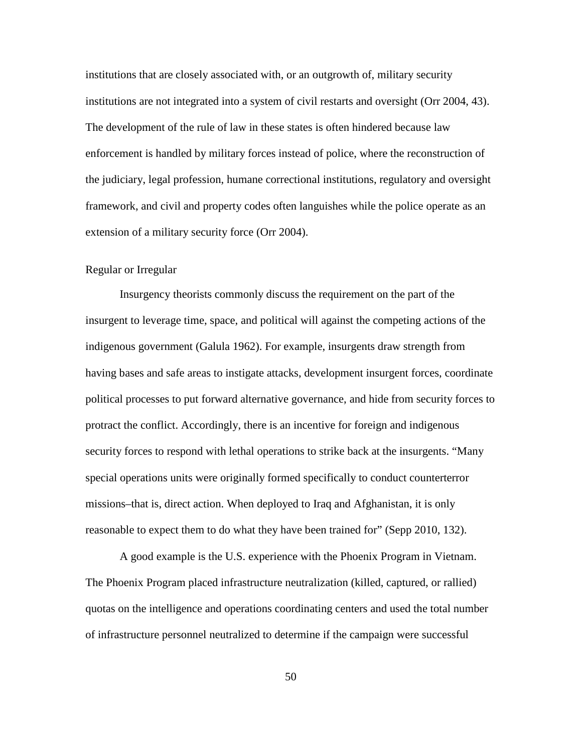institutions that are closely associated with, or an outgrowth of, military security institutions are not integrated into a system of civil restarts and oversight (Orr 2004, 43). The development of the rule of law in these states is often hindered because law enforcement is handled by military forces instead of police, where the reconstruction of the judiciary, legal profession, humane correctional institutions, regulatory and oversight framework, and civil and property codes often languishes while the police operate as an extension of a military security force (Orr 2004).

# Regular or Irregular

Insurgency theorists commonly discuss the requirement on the part of the insurgent to leverage time, space, and political will against the competing actions of the indigenous government (Galula 1962). For example, insurgents draw strength from having bases and safe areas to instigate attacks, development insurgent forces, coordinate political processes to put forward alternative governance, and hide from security forces to protract the conflict. Accordingly, there is an incentive for foreign and indigenous security forces to respond with lethal operations to strike back at the insurgents. "Many special operations units were originally formed specifically to conduct counterterror missions–that is, direct action. When deployed to Iraq and Afghanistan, it is only reasonable to expect them to do what they have been trained for" (Sepp 2010, 132).

A good example is the U.S. experience with the Phoenix Program in Vietnam. The Phoenix Program placed infrastructure neutralization (killed, captured, or rallied) quotas on the intelligence and operations coordinating centers and used the total number of infrastructure personnel neutralized to determine if the campaign were successful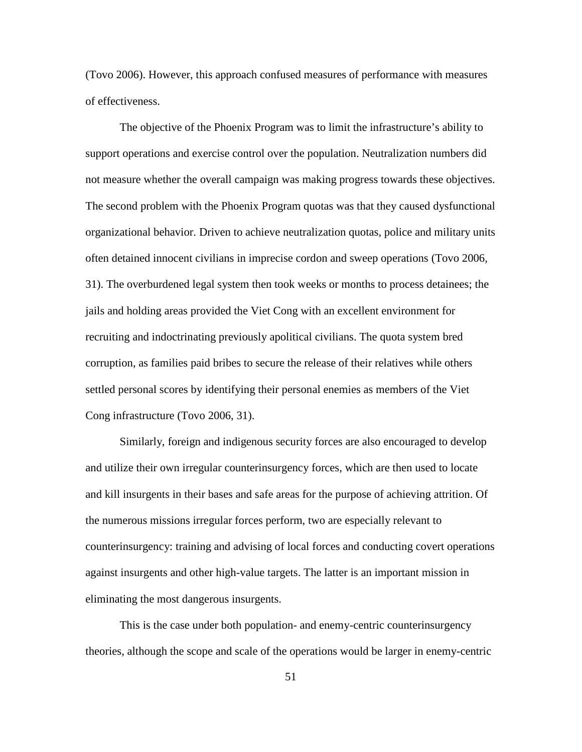(Tovo 2006). However, this approach confused measures of performance with measures of effectiveness.

The objective of the Phoenix Program was to limit the infrastructure's ability to support operations and exercise control over the population. Neutralization numbers did not measure whether the overall campaign was making progress towards these objectives. The second problem with the Phoenix Program quotas was that they caused dysfunctional organizational behavior. Driven to achieve neutralization quotas, police and military units often detained innocent civilians in imprecise cordon and sweep operations (Tovo 2006, 31). The overburdened legal system then took weeks or months to process detainees; the jails and holding areas provided the Viet Cong with an excellent environment for recruiting and indoctrinating previously apolitical civilians. The quota system bred corruption, as families paid bribes to secure the release of their relatives while others settled personal scores by identifying their personal enemies as members of the Viet Cong infrastructure (Tovo 2006, 31).

Similarly, foreign and indigenous security forces are also encouraged to develop and utilize their own irregular counterinsurgency forces, which are then used to locate and kill insurgents in their bases and safe areas for the purpose of achieving attrition. Of the numerous missions irregular forces perform, two are especially relevant to counterinsurgency: training and advising of local forces and conducting covert operations against insurgents and other high-value targets. The latter is an important mission in eliminating the most dangerous insurgents.

This is the case under both population- and enemy-centric counterinsurgency theories, although the scope and scale of the operations would be larger in enemy-centric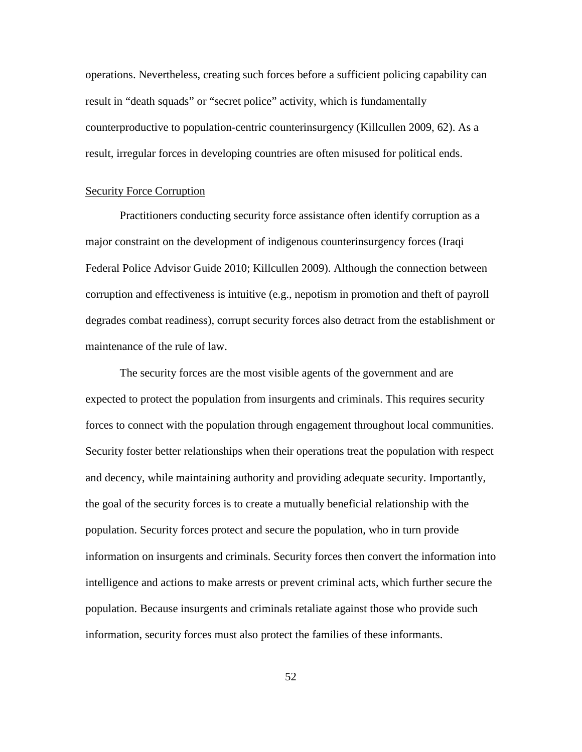operations. Nevertheless, creating such forces before a sufficient policing capability can result in "death squads" or "secret police" activity, which is fundamentally counterproductive to population-centric counterinsurgency (Killcullen 2009, 62). As a result, irregular forces in developing countries are often misused for political ends.

#### Security Force Corruption

Practitioners conducting security force assistance often identify corruption as a major constraint on the development of indigenous counterinsurgency forces (Iraqi Federal Police Advisor Guide 2010; Killcullen 2009). Although the connection between corruption and effectiveness is intuitive (e.g., nepotism in promotion and theft of payroll degrades combat readiness), corrupt security forces also detract from the establishment or maintenance of the rule of law.

The security forces are the most visible agents of the government and are expected to protect the population from insurgents and criminals. This requires security forces to connect with the population through engagement throughout local communities. Security foster better relationships when their operations treat the population with respect and decency, while maintaining authority and providing adequate security. Importantly, the goal of the security forces is to create a mutually beneficial relationship with the population. Security forces protect and secure the population, who in turn provide information on insurgents and criminals. Security forces then convert the information into intelligence and actions to make arrests or prevent criminal acts, which further secure the population. Because insurgents and criminals retaliate against those who provide such information, security forces must also protect the families of these informants.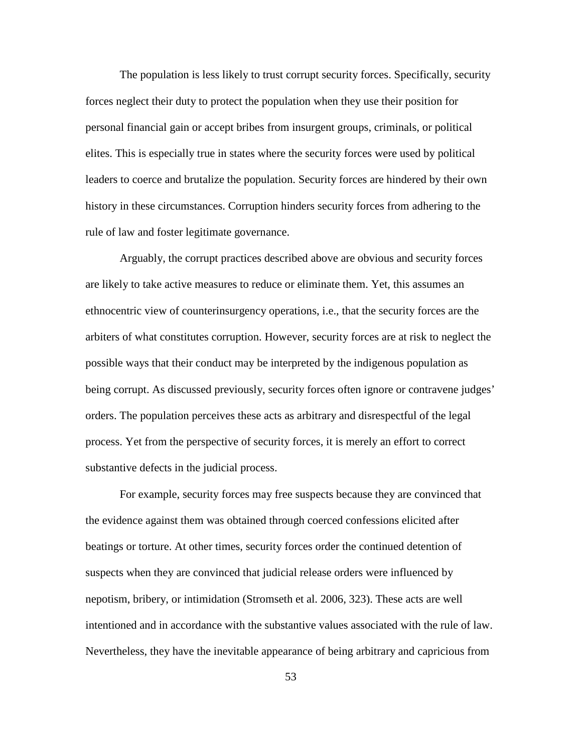The population is less likely to trust corrupt security forces. Specifically, security forces neglect their duty to protect the population when they use their position for personal financial gain or accept bribes from insurgent groups, criminals, or political elites. This is especially true in states where the security forces were used by political leaders to coerce and brutalize the population. Security forces are hindered by their own history in these circumstances. Corruption hinders security forces from adhering to the rule of law and foster legitimate governance.

Arguably, the corrupt practices described above are obvious and security forces are likely to take active measures to reduce or eliminate them. Yet, this assumes an ethnocentric view of counterinsurgency operations, i.e., that the security forces are the arbiters of what constitutes corruption. However, security forces are at risk to neglect the possible ways that their conduct may be interpreted by the indigenous population as being corrupt. As discussed previously, security forces often ignore or contravene judges' orders. The population perceives these acts as arbitrary and disrespectful of the legal process. Yet from the perspective of security forces, it is merely an effort to correct substantive defects in the judicial process.

For example, security forces may free suspects because they are convinced that the evidence against them was obtained through coerced confessions elicited after beatings or torture. At other times, security forces order the continued detention of suspects when they are convinced that judicial release orders were influenced by nepotism, bribery, or intimidation (Stromseth et al. 2006, 323). These acts are well intentioned and in accordance with the substantive values associated with the rule of law. Nevertheless, they have the inevitable appearance of being arbitrary and capricious from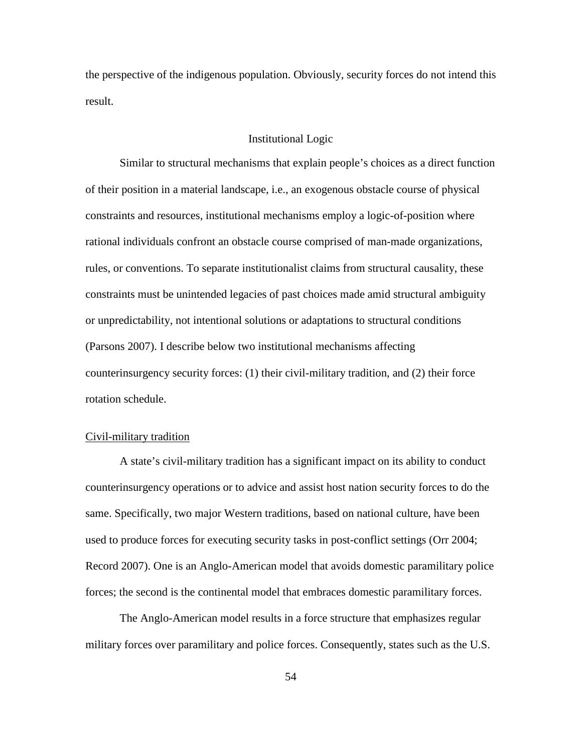the perspective of the indigenous population. Obviously, security forces do not intend this result.

# Institutional Logic

Similar to structural mechanisms that explain people's choices as a direct function of their position in a material landscape, i.e., an exogenous obstacle course of physical constraints and resources, institutional mechanisms employ a logic-of-position where rational individuals confront an obstacle course comprised of man-made organizations, rules, or conventions. To separate institutionalist claims from structural causality, these constraints must be unintended legacies of past choices made amid structural ambiguity or unpredictability, not intentional solutions or adaptations to structural conditions (Parsons 2007). I describe below two institutional mechanisms affecting counterinsurgency security forces: (1) their civil-military tradition, and (2) their force rotation schedule.

#### Civil-military tradition

A state's civil-military tradition has a significant impact on its ability to conduct counterinsurgency operations or to advice and assist host nation security forces to do the same. Specifically, two major Western traditions, based on national culture, have been used to produce forces for executing security tasks in post-conflict settings (Orr 2004; Record 2007). One is an Anglo-American model that avoids domestic paramilitary police forces; the second is the continental model that embraces domestic paramilitary forces.

The Anglo-American model results in a force structure that emphasizes regular military forces over paramilitary and police forces. Consequently, states such as the U.S.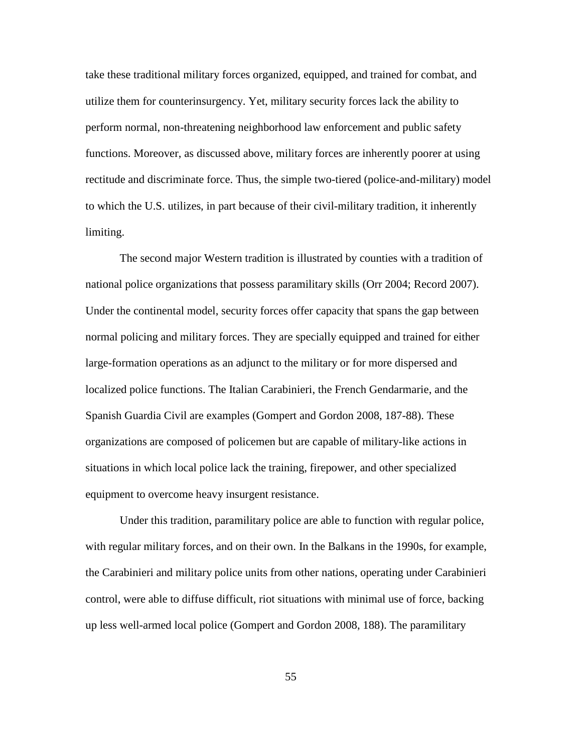take these traditional military forces organized, equipped, and trained for combat, and utilize them for counterinsurgency. Yet, military security forces lack the ability to perform normal, non-threatening neighborhood law enforcement and public safety functions. Moreover, as discussed above, military forces are inherently poorer at using rectitude and discriminate force. Thus, the simple two-tiered (police-and-military) model to which the U.S. utilizes, in part because of their civil-military tradition, it inherently limiting.

The second major Western tradition is illustrated by counties with a tradition of national police organizations that possess paramilitary skills (Orr 2004; Record 2007). Under the continental model, security forces offer capacity that spans the gap between normal policing and military forces. They are specially equipped and trained for either large-formation operations as an adjunct to the military or for more dispersed and localized police functions. The Italian Carabinieri, the French Gendarmarie, and the Spanish Guardia Civil are examples (Gompert and Gordon 2008, 187-88). These organizations are composed of policemen but are capable of military-like actions in situations in which local police lack the training, firepower, and other specialized equipment to overcome heavy insurgent resistance.

Under this tradition, paramilitary police are able to function with regular police, with regular military forces, and on their own. In the Balkans in the 1990s, for example, the Carabinieri and military police units from other nations, operating under Carabinieri control, were able to diffuse difficult, riot situations with minimal use of force, backing up less well-armed local police (Gompert and Gordon 2008, 188). The paramilitary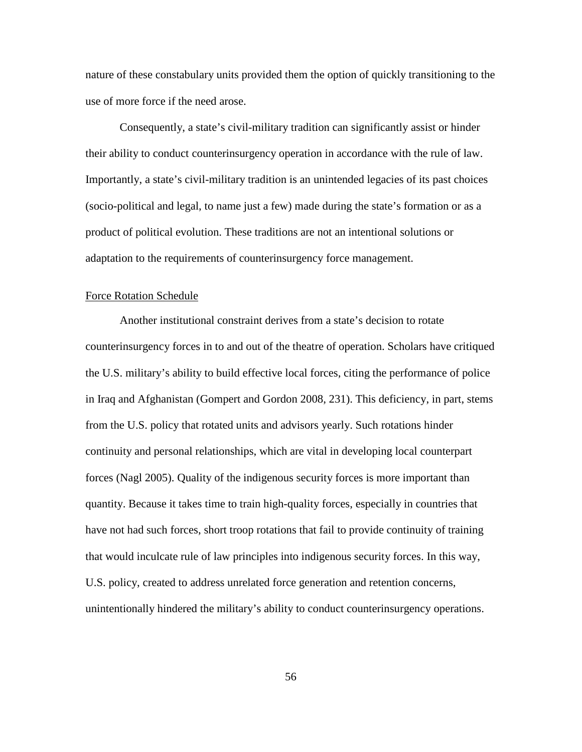nature of these constabulary units provided them the option of quickly transitioning to the use of more force if the need arose.

Consequently, a state's civil-military tradition can significantly assist or hinder their ability to conduct counterinsurgency operation in accordance with the rule of law. Importantly, a state's civil-military tradition is an unintended legacies of its past choices (socio-political and legal, to name just a few) made during the state's formation or as a product of political evolution. These traditions are not an intentional solutions or adaptation to the requirements of counterinsurgency force management.

#### Force Rotation Schedule

Another institutional constraint derives from a state's decision to rotate counterinsurgency forces in to and out of the theatre of operation. Scholars have critiqued the U.S. military's ability to build effective local forces, citing the performance of police in Iraq and Afghanistan (Gompert and Gordon 2008, 231). This deficiency, in part, stems from the U.S. policy that rotated units and advisors yearly. Such rotations hinder continuity and personal relationships, which are vital in developing local counterpart forces (Nagl 2005). Quality of the indigenous security forces is more important than quantity. Because it takes time to train high-quality forces, especially in countries that have not had such forces, short troop rotations that fail to provide continuity of training that would inculcate rule of law principles into indigenous security forces. In this way, U.S. policy, created to address unrelated force generation and retention concerns, unintentionally hindered the military's ability to conduct counterinsurgency operations.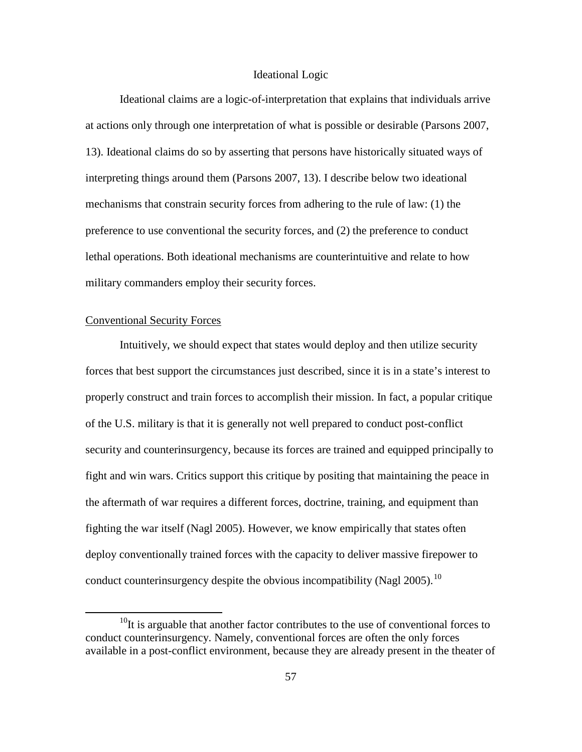# Ideational Logic

Ideational claims are a logic-of-interpretation that explains that individuals arrive at actions only through one interpretation of what is possible or desirable (Parsons 2007, 13). Ideational claims do so by asserting that persons have historically situated ways of interpreting things around them (Parsons 2007, 13). I describe below two ideational mechanisms that constrain security forces from adhering to the rule of law: (1) the preference to use conventional the security forces, and (2) the preference to conduct lethal operations. Both ideational mechanisms are counterintuitive and relate to how military commanders employ their security forces.

## Conventional Security Forces

Intuitively, we should expect that states would deploy and then utilize security forces that best support the circumstances just described, since it is in a state's interest to properly construct and train forces to accomplish their mission. In fact, a popular critique of the U.S. military is that it is generally not well prepared to conduct post-conflict security and counterinsurgency, because its forces are trained and equipped principally to fight and win wars. Critics support this critique by positing that maintaining the peace in the aftermath of war requires a different forces, doctrine, training, and equipment than fighting the war itself (Nagl 2005). However, we know empirically that states often deploy conventionally trained forces with the capacity to deliver massive firepower to conduct counterinsurgency despite the obvious incompatibility (Nagl 2005).<sup>[10](#page-63-0)</sup>

<span id="page-63-0"></span> $10$ It is arguable that another factor contributes to the use of conventional forces to conduct counterinsurgency. Namely, conventional forces are often the only forces available in a post-conflict environment, because they are already present in the theater of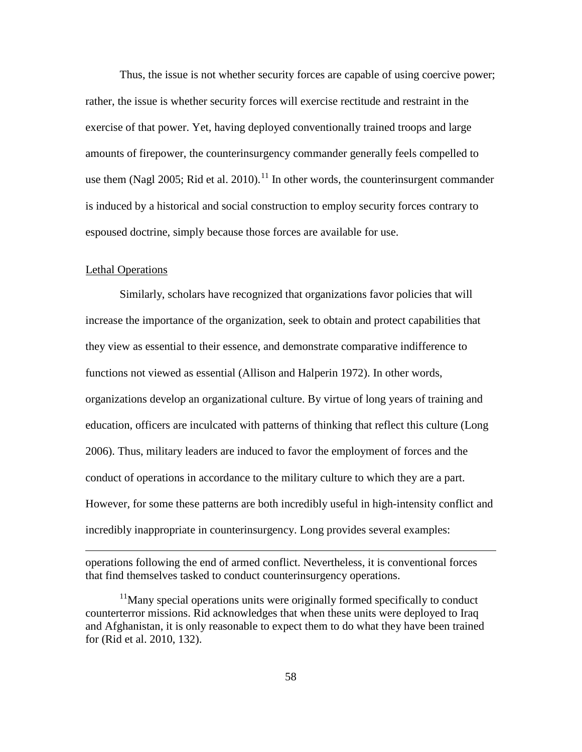Thus, the issue is not whether security forces are capable of using coercive power; rather, the issue is whether security forces will exercise rectitude and restraint in the exercise of that power. Yet, having deployed conventionally trained troops and large amounts of firepower, the counterinsurgency commander generally feels compelled to use them (Nagl 2005; Rid et al. 2010).<sup>[11](#page-64-0)</sup> In other words, the counterinsurgent commander is induced by a historical and social construction to employ security forces contrary to espoused doctrine, simply because those forces are available for use.

### Lethal Operations

 $\overline{a}$ 

Similarly, scholars have recognized that organizations favor policies that will increase the importance of the organization, seek to obtain and protect capabilities that they view as essential to their essence, and demonstrate comparative indifference to functions not viewed as essential (Allison and Halperin 1972). In other words, organizations develop an organizational culture. By virtue of long years of training and education, officers are inculcated with patterns of thinking that reflect this culture (Long 2006). Thus, military leaders are induced to favor the employment of forces and the conduct of operations in accordance to the military culture to which they are a part. However, for some these patterns are both incredibly useful in high-intensity conflict and incredibly inappropriate in counterinsurgency. Long provides several examples:

operations following the end of armed conflict. Nevertheless, it is conventional forces that find themselves tasked to conduct counterinsurgency operations.

<span id="page-64-0"></span><sup>&</sup>lt;sup>11</sup>Many special operations units were originally formed specifically to conduct counterterror missions. Rid acknowledges that when these units were deployed to Iraq and Afghanistan, it is only reasonable to expect them to do what they have been trained for (Rid et al. 2010, 132).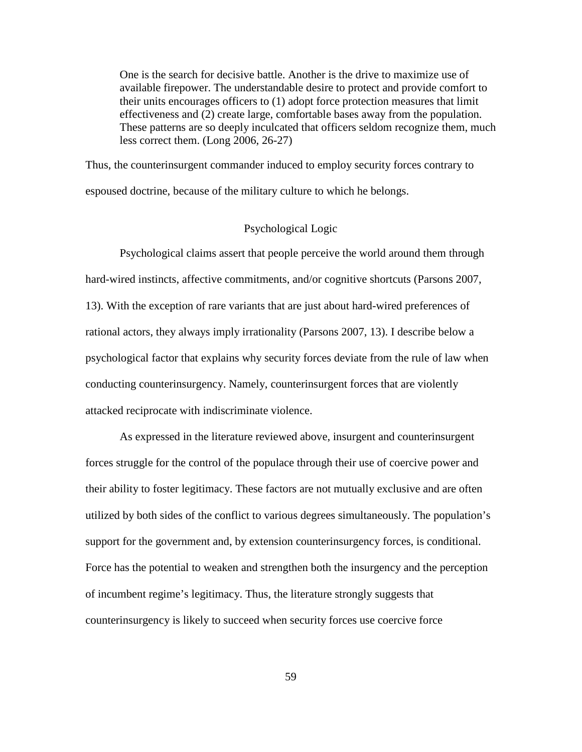One is the search for decisive battle. Another is the drive to maximize use of available firepower. The understandable desire to protect and provide comfort to their units encourages officers to (1) adopt force protection measures that limit effectiveness and (2) create large, comfortable bases away from the population. These patterns are so deeply inculcated that officers seldom recognize them, much less correct them. (Long 2006, 26-27)

Thus, the counterinsurgent commander induced to employ security forces contrary to espoused doctrine, because of the military culture to which he belongs.

# Psychological Logic

Psychological claims assert that people perceive the world around them through hard-wired instincts, affective commitments, and/or cognitive shortcuts (Parsons 2007, 13). With the exception of rare variants that are just about hard-wired preferences of rational actors, they always imply irrationality (Parsons 2007, 13). I describe below a psychological factor that explains why security forces deviate from the rule of law when conducting counterinsurgency. Namely, counterinsurgent forces that are violently attacked reciprocate with indiscriminate violence.

As expressed in the literature reviewed above, insurgent and counterinsurgent forces struggle for the control of the populace through their use of coercive power and their ability to foster legitimacy. These factors are not mutually exclusive and are often utilized by both sides of the conflict to various degrees simultaneously. The population's support for the government and, by extension counterinsurgency forces, is conditional. Force has the potential to weaken and strengthen both the insurgency and the perception of incumbent regime's legitimacy. Thus, the literature strongly suggests that counterinsurgency is likely to succeed when security forces use coercive force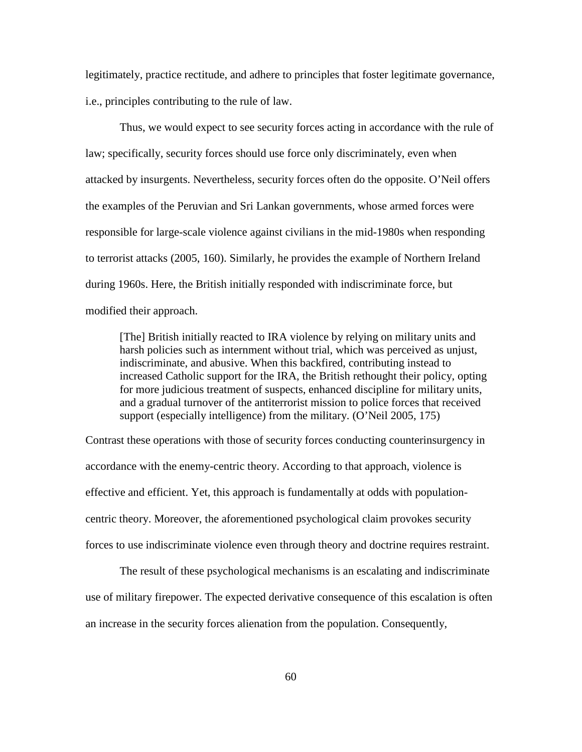legitimately, practice rectitude, and adhere to principles that foster legitimate governance, i.e., principles contributing to the rule of law.

Thus, we would expect to see security forces acting in accordance with the rule of law; specifically, security forces should use force only discriminately, even when attacked by insurgents. Nevertheless, security forces often do the opposite. O'Neil offers the examples of the Peruvian and Sri Lankan governments, whose armed forces were responsible for large-scale violence against civilians in the mid-1980s when responding to terrorist attacks (2005, 160). Similarly, he provides the example of Northern Ireland during 1960s. Here, the British initially responded with indiscriminate force, but modified their approach.

[The] British initially reacted to IRA violence by relying on military units and harsh policies such as internment without trial, which was perceived as unjust, indiscriminate, and abusive. When this backfired, contributing instead to increased Catholic support for the IRA, the British rethought their policy, opting for more judicious treatment of suspects, enhanced discipline for military units, and a gradual turnover of the antiterrorist mission to police forces that received support (especially intelligence) from the military. (O'Neil 2005, 175)

Contrast these operations with those of security forces conducting counterinsurgency in accordance with the enemy-centric theory. According to that approach, violence is effective and efficient. Yet, this approach is fundamentally at odds with populationcentric theory. Moreover, the aforementioned psychological claim provokes security forces to use indiscriminate violence even through theory and doctrine requires restraint.

The result of these psychological mechanisms is an escalating and indiscriminate use of military firepower. The expected derivative consequence of this escalation is often an increase in the security forces alienation from the population. Consequently,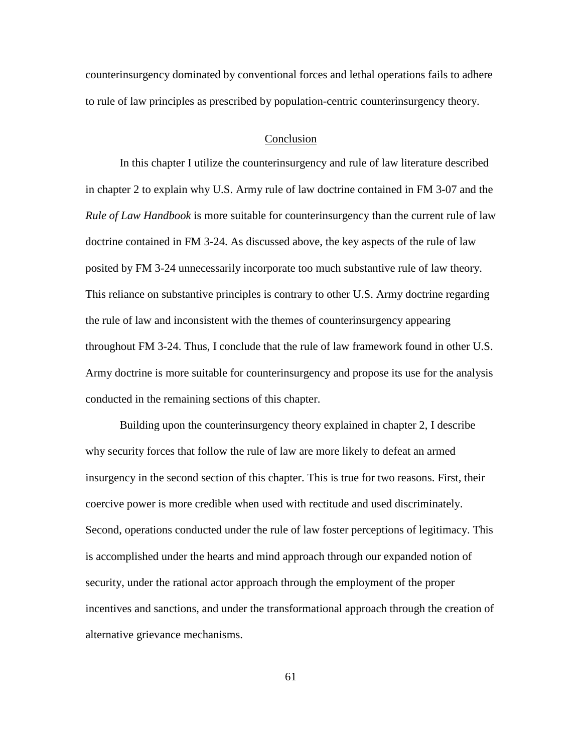counterinsurgency dominated by conventional forces and lethal operations fails to adhere to rule of law principles as prescribed by population-centric counterinsurgency theory.

#### Conclusion

In this chapter I utilize the counterinsurgency and rule of law literature described in chapter 2 to explain why U.S. Army rule of law doctrine contained in FM 3-07 and the *Rule of Law Handbook* is more suitable for counterinsurgency than the current rule of law doctrine contained in FM 3-24. As discussed above, the key aspects of the rule of law posited by FM 3-24 unnecessarily incorporate too much substantive rule of law theory. This reliance on substantive principles is contrary to other U.S. Army doctrine regarding the rule of law and inconsistent with the themes of counterinsurgency appearing throughout FM 3-24. Thus, I conclude that the rule of law framework found in other U.S. Army doctrine is more suitable for counterinsurgency and propose its use for the analysis conducted in the remaining sections of this chapter.

Building upon the counterinsurgency theory explained in chapter 2, I describe why security forces that follow the rule of law are more likely to defeat an armed insurgency in the second section of this chapter. This is true for two reasons. First, their coercive power is more credible when used with rectitude and used discriminately. Second, operations conducted under the rule of law foster perceptions of legitimacy. This is accomplished under the hearts and mind approach through our expanded notion of security, under the rational actor approach through the employment of the proper incentives and sanctions, and under the transformational approach through the creation of alternative grievance mechanisms.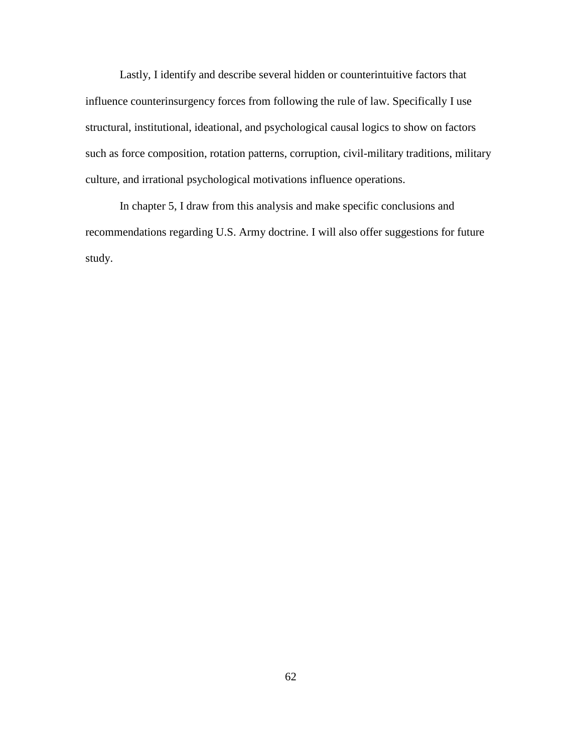Lastly, I identify and describe several hidden or counterintuitive factors that influence counterinsurgency forces from following the rule of law. Specifically I use structural, institutional, ideational, and psychological causal logics to show on factors such as force composition, rotation patterns, corruption, civil-military traditions, military culture, and irrational psychological motivations influence operations.

In chapter 5, I draw from this analysis and make specific conclusions and recommendations regarding U.S. Army doctrine. I will also offer suggestions for future study.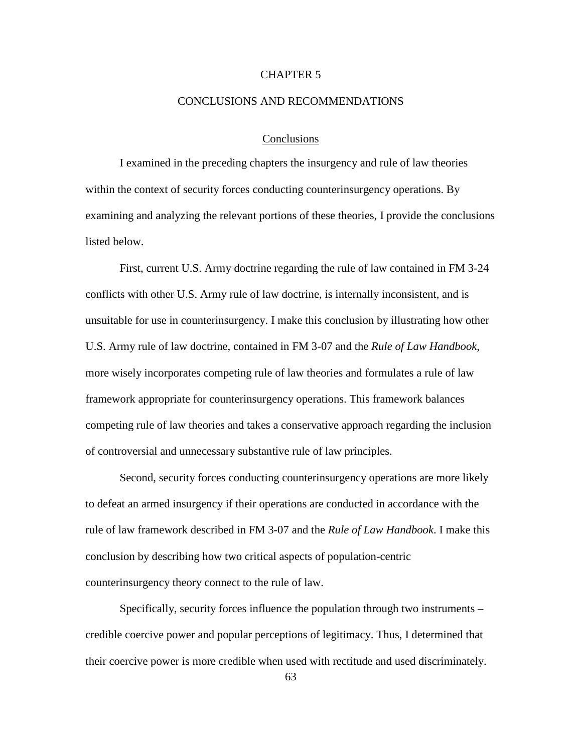# CHAPTER 5

#### CONCLUSIONS AND RECOMMENDATIONS

### **Conclusions**

I examined in the preceding chapters the insurgency and rule of law theories within the context of security forces conducting counterinsurgency operations. By examining and analyzing the relevant portions of these theories, I provide the conclusions listed below.

First, current U.S. Army doctrine regarding the rule of law contained in FM 3-24 conflicts with other U.S. Army rule of law doctrine, is internally inconsistent, and is unsuitable for use in counterinsurgency. I make this conclusion by illustrating how other U.S. Army rule of law doctrine, contained in FM 3-07 and the *Rule of Law Handbook*, more wisely incorporates competing rule of law theories and formulates a rule of law framework appropriate for counterinsurgency operations. This framework balances competing rule of law theories and takes a conservative approach regarding the inclusion of controversial and unnecessary substantive rule of law principles.

Second, security forces conducting counterinsurgency operations are more likely to defeat an armed insurgency if their operations are conducted in accordance with the rule of law framework described in FM 3-07 and the *Rule of Law Handbook*. I make this conclusion by describing how two critical aspects of population-centric counterinsurgency theory connect to the rule of law.

Specifically, security forces influence the population through two instruments – credible coercive power and popular perceptions of legitimacy. Thus, I determined that their coercive power is more credible when used with rectitude and used discriminately.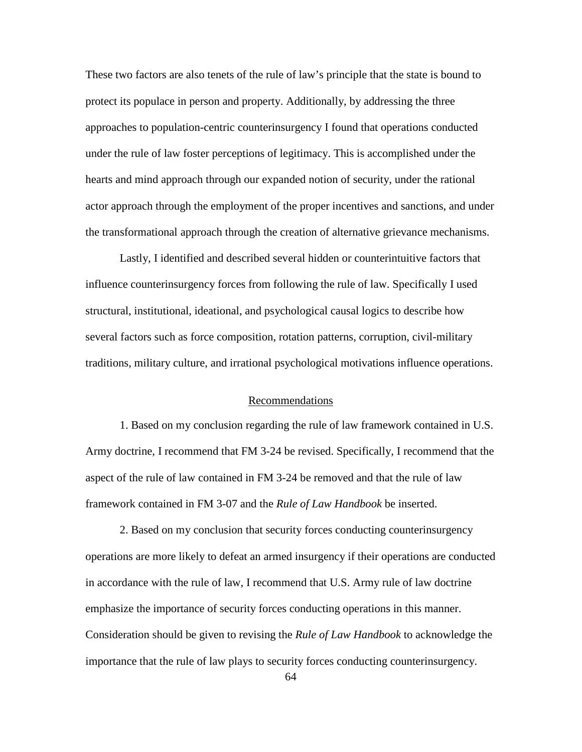These two factors are also tenets of the rule of law's principle that the state is bound to protect its populace in person and property. Additionally, by addressing the three approaches to population-centric counterinsurgency I found that operations conducted under the rule of law foster perceptions of legitimacy. This is accomplished under the hearts and mind approach through our expanded notion of security, under the rational actor approach through the employment of the proper incentives and sanctions, and under the transformational approach through the creation of alternative grievance mechanisms.

Lastly, I identified and described several hidden or counterintuitive factors that influence counterinsurgency forces from following the rule of law. Specifically I used structural, institutional, ideational, and psychological causal logics to describe how several factors such as force composition, rotation patterns, corruption, civil-military traditions, military culture, and irrational psychological motivations influence operations.

#### Recommendations

1. Based on my conclusion regarding the rule of law framework contained in U.S. Army doctrine, I recommend that FM 3-24 be revised. Specifically, I recommend that the aspect of the rule of law contained in FM 3-24 be removed and that the rule of law framework contained in FM 3-07 and the *Rule of Law Handbook* be inserted.

2. Based on my conclusion that security forces conducting counterinsurgency operations are more likely to defeat an armed insurgency if their operations are conducted in accordance with the rule of law, I recommend that U.S. Army rule of law doctrine emphasize the importance of security forces conducting operations in this manner. Consideration should be given to revising the *Rule of Law Handbook* to acknowledge the importance that the rule of law plays to security forces conducting counterinsurgency.

64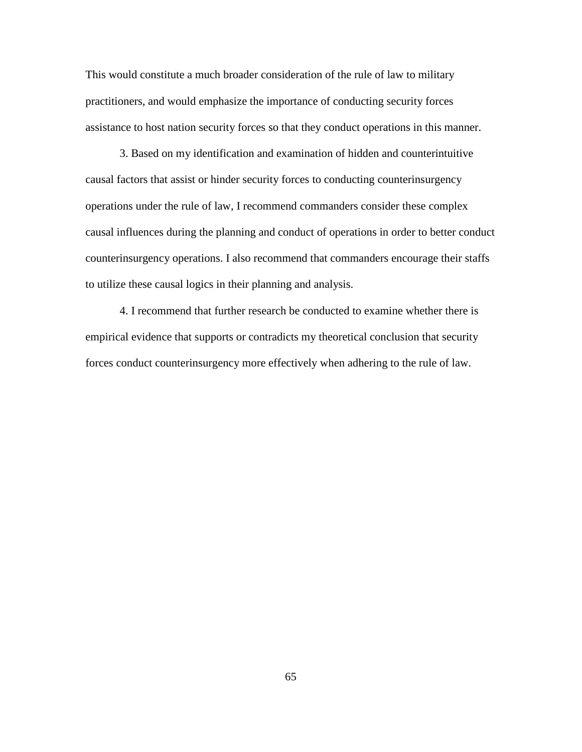This would constitute a much broader consideration of the rule of law to military practitioners, and would emphasize the importance of conducting security forces assistance to host nation security forces so that they conduct operations in this manner.

3. Based on my identification and examination of hidden and counterintuitive causal factors that assist or hinder security forces to conducting counterinsurgency operations under the rule of law, I recommend commanders consider these complex causal influences during the planning and conduct of operations in order to better conduct counterinsurgency operations. I also recommend that commanders encourage their staffs to utilize these causal logics in their planning and analysis.

4. I recommend that further research be conducted to examine whether there is empirical evidence that supports or contradicts my theoretical conclusion that security forces conduct counterinsurgency more effectively when adhering to the rule of law.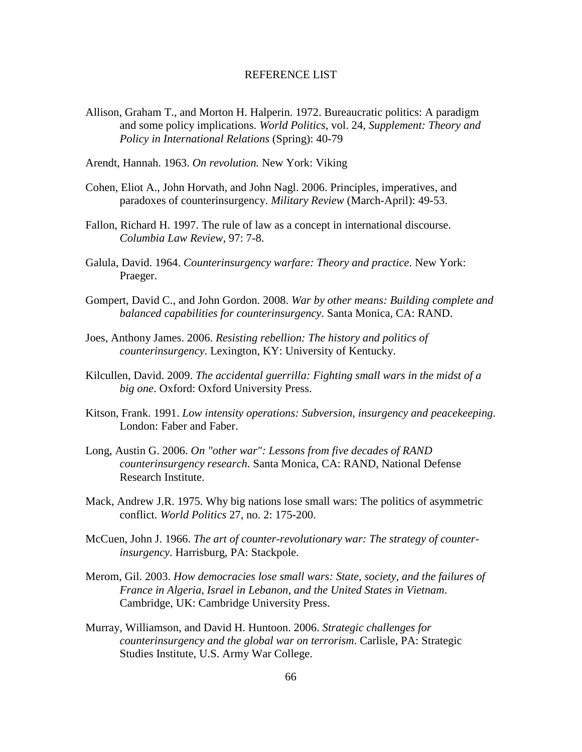## REFERENCE LIST

Allison, Graham T., and Morton H. Halperin. 1972. Bureaucratic politics: A paradigm and some policy implications. *World Politics*, vol. 24, *Supplement: Theory and Policy in International Relations* (Spring): 40-79

Arendt, Hannah. 1963. *On revolution.* New York: Viking

- Cohen, Eliot A., John Horvath, and John Nagl. 2006. Principles, imperatives, and paradoxes of counterinsurgency. *Military Review* (March-April): 49-53.
- Fallon, Richard H. 1997. The rule of law as a concept in international discourse. *Columbia Law Review*, 97: 7-8.
- Galula, David. 1964. *Counterinsurgency warfare: Theory and practice*. New York: Praeger.
- Gompert, David C., and John Gordon. 2008. *War by other means: Building complete and balanced capabilities for counterinsurgency*. Santa Monica, CA: RAND.
- Joes, Anthony James. 2006. *Resisting rebellion: The history and politics of counterinsurgency*. Lexington, KY: University of Kentucky.
- Kilcullen, David. 2009. *The accidental guerrilla: Fighting small wars in the midst of a big one*. Oxford: Oxford University Press.
- Kitson, Frank. 1991. *Low intensity operations: Subversion, insurgency and peacekeeping*. London: Faber and Faber.
- Long, Austin G. 2006. *On "other war": Lessons from five decades of RAND counterinsurgency research*. Santa Monica, CA: RAND, National Defense Research Institute.
- Mack, Andrew J.R. 1975. Why big nations lose small wars: The politics of asymmetric conflict. *World Politics* 27, no. 2: 175-200.
- McCuen, John J. 1966. *The art of counter-revolutionary war: The strategy of counterinsurgency*. Harrisburg, PA: Stackpole.
- Merom, Gil. 2003. *How democracies lose small wars: State, society, and the failures of France in Algeria, Israel in Lebanon, and the United States in Vietnam*. Cambridge, UK: Cambridge University Press.
- Murray, Williamson, and David H. Huntoon. 2006. *Strategic challenges for counterinsurgency and the global war on terrorism*. Carlisle, PA: Strategic Studies Institute, U.S. Army War College.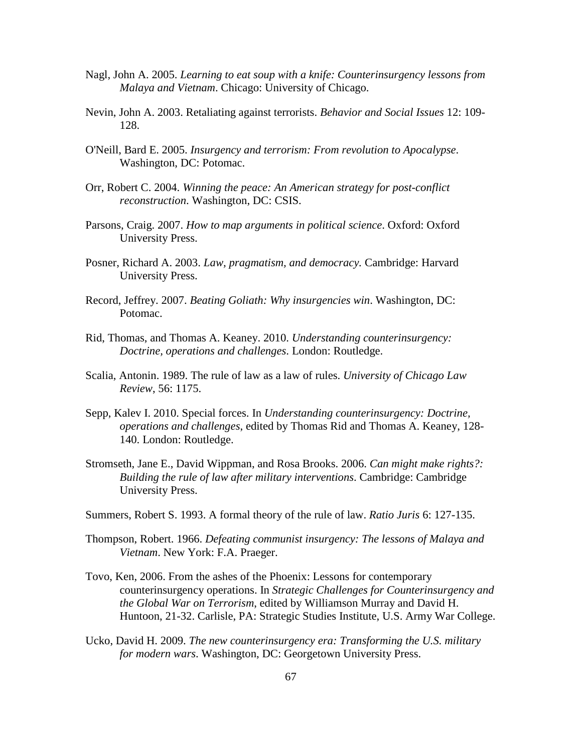- Nagl, John A. 2005. *Learning to eat soup with a knife: Counterinsurgency lessons from Malaya and Vietnam*. Chicago: University of Chicago.
- Nevin, John A. 2003. Retaliating against terrorists. *Behavior and Social Issues* 12: 109- 128.
- O'Neill, Bard E. 2005. *Insurgency and terrorism: From revolution to Apocalypse*. Washington, DC: Potomac.
- Orr, Robert C. 2004. *Winning the peace: An American strategy for post-conflict reconstruction*. Washington, DC: CSIS.
- Parsons, Craig. 2007. *How to map arguments in political science*. Oxford: Oxford University Press.
- Posner, Richard A. 2003. *Law, pragmatism, and democracy.* Cambridge: Harvard University Press.
- Record, Jeffrey. 2007. *Beating Goliath: Why insurgencies win*. Washington, DC: Potomac.
- Rid, Thomas, and Thomas A. Keaney. 2010. *Understanding counterinsurgency: Doctrine, operations and challenges*. London: Routledge.
- Scalia, Antonin. 1989. The rule of law as a law of rules. *University of Chicago Law Review*, 56: 1175.
- Sepp, Kalev I. 2010. Special forces. In *Understanding counterinsurgency: Doctrine, operations and challenges*, edited by Thomas Rid and Thomas A. Keaney, 128- 140. London: Routledge.
- Stromseth, Jane E., David Wippman, and Rosa Brooks. 2006. *Can might make rights?: Building the rule of law after military interventions*. Cambridge: Cambridge University Press.
- Summers, Robert S. 1993. A formal theory of the rule of law. *Ratio Juris* 6: 127-135.
- Thompson, Robert. 1966. *Defeating communist insurgency: The lessons of Malaya and Vietnam*. New York: F.A. Praeger.
- Tovo, Ken, 2006. From the ashes of the Phoenix: Lessons for contemporary counterinsurgency operations. In *Strategic Challenges for Counterinsurgency and the Global War on Terrorism*, edited by Williamson Murray and David H. Huntoon, 21-32. Carlisle, PA: Strategic Studies Institute, U.S. Army War College.
- Ucko, David H. 2009. *The new counterinsurgency era: Transforming the U.S. military for modern wars*. Washington, DC: Georgetown University Press.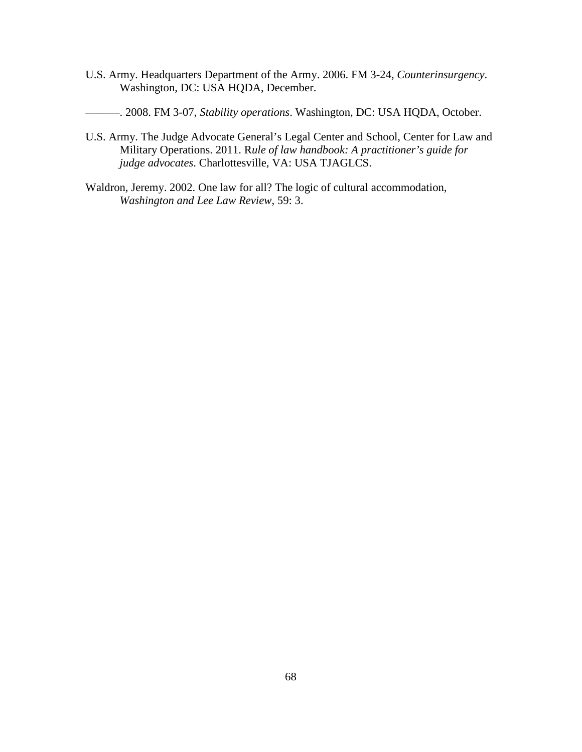- U.S. Army. Headquarters Department of the Army. 2006. FM 3-24, *Counterinsurgency*. Washington, DC: USA HQDA, December.
- ———. 2008. FM 3-07, *Stability operations*. Washington, DC: USA HQDA, October.
- U.S. Army. The Judge Advocate General's Legal Center and School, Center for Law and Military Operations. 2011. R*ule of law handbook: A practitioner's guide for judge advocates*. Charlottesville, VA: USA TJAGLCS.
- Waldron, Jeremy. 2002. One law for all? The logic of cultural accommodation, *Washington and Lee Law Review*, 59: 3.